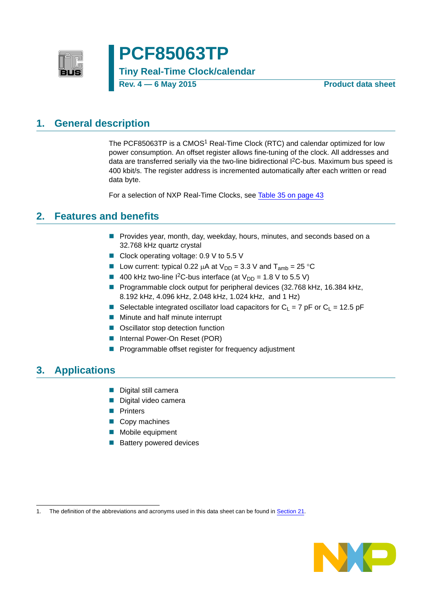

# **PCF85063TP**

**Tiny Real-Time Clock/calendar**

**Rev. 4 — 6 May 2015 Product data sheet**

### <span id="page-0-0"></span>**1. General description**

The PCF85063TP is a CMOS<sup>1</sup> Real-Time Clock (RTC) and calendar optimized for low power consumption. An offset register allows fine-tuning of the clock. All addresses and data are transferred serially via the two-line bidirectional I2C-bus. Maximum bus speed is 400 kbit/s. The register address is incremented automatically after each written or read data byte.

For a selection of NXP Real-Time Clocks, see [Table 35 on page 43](#page-42-0)

### <span id="page-0-1"></span>**2. Features and benefits**

- **Provides year, month, day, weekday, hours, minutes, and seconds based on a** 32.768 kHz quartz crystal
- Clock operating voltage: 0.9 V to 5.5 V
- Low current: typical 0.22  $\mu$ A at  $V_{DD} = 3.3$  V and  $T_{amb} = 25$  °C
- 400 kHz two-line I<sup>2</sup>C-bus interface (at  $V_{DD} = 1.8$  V to 5.5 V)
- Programmable clock output for peripheral devices (32.768 kHz, 16.384 kHz, 8.192 kHz, 4.096 kHz, 2.048 kHz, 1.024 kHz, and 1 Hz)
- Selectable integrated oscillator load capacitors for  $C_1 = 7$  pF or  $C_1 = 12.5$  pF
- **Minute and half minute interrupt**
- Oscillator stop detection function
- Internal Power-On Reset (POR)
- **Programmable offset register for frequency adjustment**

### <span id="page-0-2"></span>**3. Applications**

- Digital still camera
- Digital video camera
- **Printers**
- Copy machines
- **Mobile equipment**
- Battery powered devices

<sup>1.</sup> The definition of the abbreviations and acronyms used in this data sheet can be found in [Section 21.](#page-44-0)

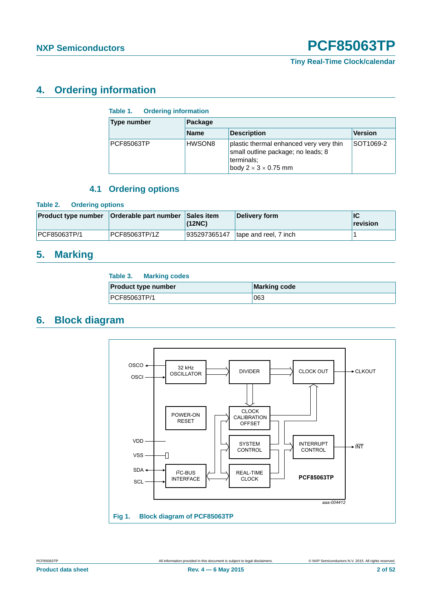### <span id="page-1-4"></span>**4. Ordering information**

### <span id="page-1-0"></span>**Table 1. Ordering information**

| Type number | Package     |                                                                                                                                 |           |  |  |  |  |
|-------------|-------------|---------------------------------------------------------------------------------------------------------------------------------|-----------|--|--|--|--|
|             | <b>Name</b> | <b>Description</b>                                                                                                              | Version   |  |  |  |  |
| PCF85063TP  | HWSON8      | plastic thermal enhanced very very thin<br>small outline package; no leads; 8<br>terminals:<br>body $2 \times 3 \times 0.75$ mm | SOT1069-2 |  |  |  |  |

### **4.1 Ordering options**

### <span id="page-1-5"></span><span id="page-1-1"></span>**Table 2. Ordering options**

|              | <b>Product type number   Orderable part number   Sales item  </b> | (12NC)       | Delivery form         | lic<br>revision |
|--------------|-------------------------------------------------------------------|--------------|-----------------------|-----------------|
| PCF85063TP/1 | PCF85063TP/1Z                                                     | 935297365147 | tape and reel, 7 inch |                 |

### <span id="page-1-6"></span>**5. Marking**

<span id="page-1-2"></span>

| Table 3.<br><b>Marking codes</b> |                     |
|----------------------------------|---------------------|
| <b>Product type number</b>       | <b>Marking code</b> |
| PCF85063TP/1                     | 063                 |

### <span id="page-1-7"></span>**6. Block diagram**

<span id="page-1-3"></span>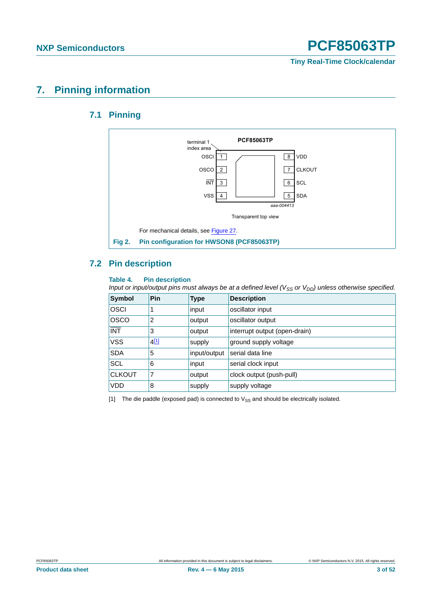### <span id="page-2-4"></span><span id="page-2-3"></span>**7. Pinning information**

### **7.1 Pinning**



### <span id="page-2-5"></span><span id="page-2-2"></span>**7.2 Pin description**

### <span id="page-2-1"></span>**Table 4. Pin description**

*Input or input/output pins must always be at a defined level (V<sub>SS</sub> or V<sub>DD</sub>) unless otherwise specified.* 

| <b>Symbol</b>                      | Pin              | <b>Type</b>  | <b>Description</b>            |
|------------------------------------|------------------|--------------|-------------------------------|
| <b>OSCI</b>                        |                  | input        | oscillator input              |
| <b>OSCO</b>                        | 2                | output       | oscillator output             |
| $\overline{\overline{\text{INT}}}$ | 3                | output       | interrupt output (open-drain) |
| <b>VSS</b>                         | 4 <sup>[1]</sup> | supply       | ground supply voltage         |
| <b>SDA</b>                         | 5                | input/output | serial data line              |
| <b>SCL</b>                         | 6                | input        | serial clock input            |
| <b>CLKOUT</b>                      | 7                | output       | clock output (push-pull)      |
| <b>VDD</b>                         | 8                | supply       | supply voltage                |

<span id="page-2-0"></span>[1] The die paddle (exposed pad) is connected to  $V_{SS}$  and should be electrically isolated.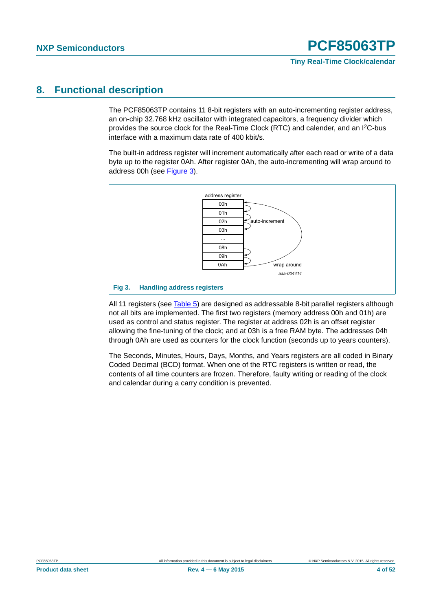### <span id="page-3-1"></span>**8. Functional description**

The PCF85063TP contains 11 8-bit registers with an auto-incrementing register address, an on-chip 32.768 kHz oscillator with integrated capacitors, a frequency divider which provides the source clock for the Real-Time Clock (RTC) and calender, and an I2C-bus interface with a maximum data rate of 400 kbit/s.

The built-in address register will increment automatically after each read or write of a data byte up to the register 0Ah. After register 0Ah, the auto-incrementing will wrap around to address 00h (see [Figure 3\)](#page-3-0).



<span id="page-3-0"></span>All 11 registers (see [Table 5\)](#page-4-0) are designed as addressable 8-bit parallel registers although not all bits are implemented. The first two registers (memory address 00h and 01h) are used as control and status register. The register at address 02h is an offset register allowing the fine-tuning of the clock; and at 03h is a free RAM byte. The addresses 04h through 0Ah are used as counters for the clock function (seconds up to years counters).

The Seconds, Minutes, Hours, Days, Months, and Years registers are all coded in Binary Coded Decimal (BCD) format. When one of the RTC registers is written or read, the contents of all time counters are frozen. Therefore, faulty writing or reading of the clock and calendar during a carry condition is prevented.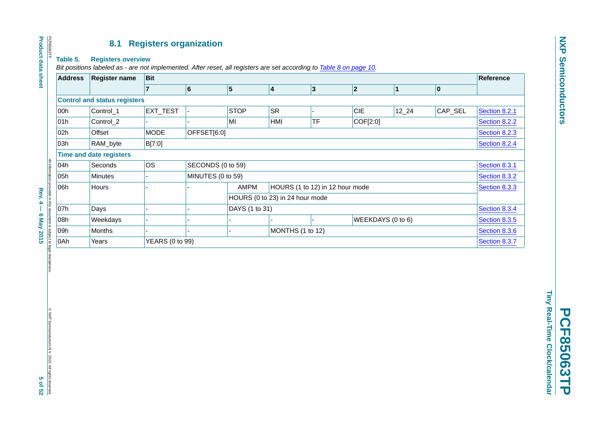### **8.1 Registers organization**

#### **Table 5. Registers overview**

*Bit positions labeled as - are not implemented. After reset, all registers are set according to Table [8 on page](#page-9-0) 10.*

| <b>Address</b> | <b>Register name</b>                | Bit             |                   |                                                |           |           |            |               |               |               | <b>Reference</b> |
|----------------|-------------------------------------|-----------------|-------------------|------------------------------------------------|-----------|-----------|------------|---------------|---------------|---------------|------------------|
|                |                                     |                 | 6                 | 5                                              | 4         | $\vert$ 3 | 2          |               | $\vert$ 1     | $ 0\rangle$   |                  |
|                | <b>Control and status registers</b> |                 |                   |                                                |           |           |            |               |               |               |                  |
| 00h            | Control_1                           | EXT_TEST        |                   | <b>STOP</b>                                    | <b>SR</b> |           | <b>CIE</b> |               | $12 - 24$     | CAP_SEL       | Section 8.2.1    |
| 01h            | Control_2                           |                 |                   | MI                                             | HMI       | <b>TF</b> |            | COF[2:0]      |               |               | Section 8.2.2    |
| 02h            | Offset                              | <b>MODE</b>     | OFFSET[6:0]       |                                                |           |           |            |               |               |               | Section 8.2.3    |
| 03h            | RAM_byte                            | B[7:0]          |                   |                                                |           |           |            |               | Section 8.2.4 |               |                  |
|                | <b>Time and date registers</b>      |                 |                   |                                                |           |           |            |               |               |               |                  |
| 04h            | Seconds                             | OS.             | SECONDS (0 to 59) |                                                |           |           |            |               |               |               | Section 8.3.1    |
| 05h            | <b>Minutes</b>                      |                 | MINUTES (0 to 59) |                                                |           |           |            |               |               |               | Section 8.3.2    |
| 06h            | Hours                               |                 |                   | <b>AMPM</b><br>HOURS (1 to 12) in 12 hour mode |           |           |            |               | Section 8.3.3 |               |                  |
|                |                                     |                 |                   | HOURS (0 to 23) in 24 hour mode                |           |           |            |               |               |               |                  |
| 07h            | Days                                |                 |                   | DAYS (1 to 31)                                 |           |           |            |               | Section 8.3.4 |               |                  |
| 08h            | Weekdays                            |                 |                   | WEEKDAYS (0 to 6)                              |           |           |            | Section 8.3.5 |               |               |                  |
| 09h            | Months                              |                 |                   | MONTHS (1 to 12)                               |           |           |            | Section 8.3.6 |               |               |                  |
| 0Ah            | Years                               | YEARS (0 to 99) |                   |                                                |           |           |            |               |               | Section 8.3.7 |                  |

Rev. 4 - 6 May 2015 vided in this document is subject to legal disclaim

All information provided in this document is subject to legal disclaimers.

**Rev. 4 — 6 May 2015 5 of 52** © NXP Semiconductors N.∨. 2015. All rights reserved.<br>© NXP Semiconductors N.∨. 2015. All rights reserved.

<span id="page-4-1"></span><span id="page-4-0"></span>© NXP Semiconductors N.V. 2015. All rights reserved.

**PCF85063TP PCF85063TP** 

Tiny Real-Time Clock/calendar **Tiny Real-Time Clock/calendar**

# **Product data sheet Product data sheet**

PCF85063TP

PCF85063TP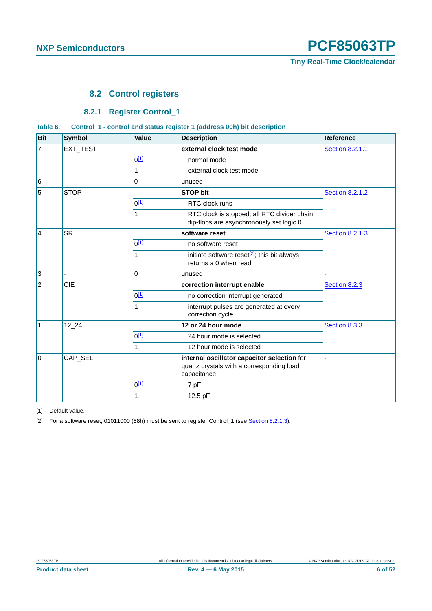### <span id="page-5-0"></span>**8.2 Control registers**

### **8.2.1 Register Control\_1**

#### <span id="page-5-5"></span><span id="page-5-4"></span><span id="page-5-3"></span>**Table 6. Control\_1 - control and status register 1 (address 00h) bit description**

| <b>Bit</b>     | <b>Symbol</b> | <b>Value</b>     | <b>Description</b>                                                                                      | <b>Reference</b>       |
|----------------|---------------|------------------|---------------------------------------------------------------------------------------------------------|------------------------|
| $\overline{7}$ | EXT_TEST      |                  | external clock test mode                                                                                | <b>Section 8.2.1.1</b> |
|                |               | 0 <sup>[1]</sup> | normal mode                                                                                             |                        |
|                |               | 1                | external clock test mode                                                                                |                        |
| $\,6$          |               | $\mathbf 0$      | unused                                                                                                  |                        |
| 5              | <b>STOP</b>   |                  | <b>STOP bit</b>                                                                                         | <b>Section 8.2.1.2</b> |
|                |               | 0 <sup>[1]</sup> | RTC clock runs                                                                                          |                        |
|                |               | 1                | RTC clock is stopped; all RTC divider chain<br>flip-flops are asynchronously set logic 0                |                        |
| 4              | <b>SR</b>     |                  | software reset                                                                                          | <b>Section 8.2.1.3</b> |
|                |               | $0^{[1]}$        | no software reset                                                                                       |                        |
|                |               | 1                | initiate software reset $[2]$ ; this bit always<br>returns a 0 when read                                |                        |
| $\mathbf{3}$   |               | $\Omega$         | unused                                                                                                  |                        |
| $\overline{2}$ | CIE           |                  | correction interrupt enable                                                                             | Section 8.2.3          |
|                |               | 0 <sup>[1]</sup> | no correction interrupt generated                                                                       |                        |
|                |               | 1                | interrupt pulses are generated at every<br>correction cycle                                             |                        |
| $\mathbf{1}$   | 12 24         |                  | 12 or 24 hour mode                                                                                      | Section 8.3.3          |
|                |               | 0 <sup>[1]</sup> | 24 hour mode is selected                                                                                |                        |
|                |               | 1                | 12 hour mode is selected                                                                                |                        |
| l O<br>CAP_SEL |               |                  | internal oscillator capacitor selection for<br>quartz crystals with a corresponding load<br>capacitance |                        |
|                |               | 0 <sup>[1]</sup> | 7 pF                                                                                                    |                        |
|                |               | 1                | 12.5 pF                                                                                                 |                        |

<span id="page-5-1"></span>[1] Default value.

<span id="page-5-2"></span>[2] For a software reset, 01011000 (58h) must be sent to register Control\_1 (see [Section 8.2.1.3](#page-9-1)).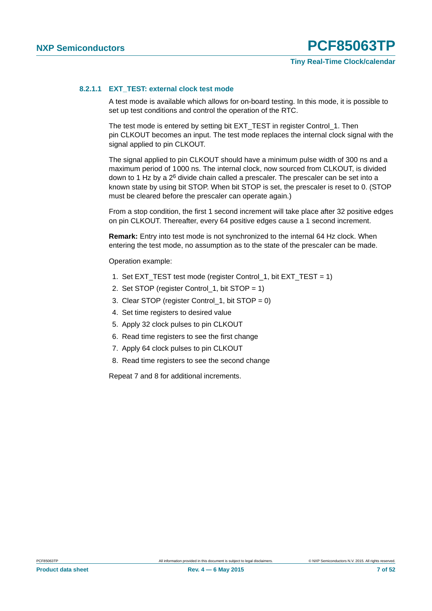### <span id="page-6-0"></span>**8.2.1.1 EXT\_TEST: external clock test mode**

A test mode is available which allows for on-board testing. In this mode, it is possible to set up test conditions and control the operation of the RTC.

The test mode is entered by setting bit EXT\_TEST in register Control\_1. Then pin CLKOUT becomes an input. The test mode replaces the internal clock signal with the signal applied to pin CLKOUT.

The signal applied to pin CLKOUT should have a minimum pulse width of 300 ns and a maximum period of 1000 ns. The internal clock, now sourced from CLKOUT, is divided down to 1 Hz by a 2<sup>6</sup> divide chain called a prescaler. The prescaler can be set into a known state by using bit STOP. When bit STOP is set, the prescaler is reset to 0. (STOP must be cleared before the prescaler can operate again.)

From a stop condition, the first 1 second increment will take place after 32 positive edges on pin CLKOUT. Thereafter, every 64 positive edges cause a 1 second increment.

**Remark:** Entry into test mode is not synchronized to the internal 64 Hz clock. When entering the test mode, no assumption as to the state of the prescaler can be made.

Operation example:

- 1. Set EXT\_TEST test mode (register Control\_1, bit EXT\_TEST = 1)
- 2. Set STOP (register Control\_1, bit STOP = 1)
- 3. Clear STOP (register Control 1, bit STOP =  $0$ )
- 4. Set time registers to desired value
- 5. Apply 32 clock pulses to pin CLKOUT
- 6. Read time registers to see the first change
- 7. Apply 64 clock pulses to pin CLKOUT
- 8. Read time registers to see the second change

Repeat 7 and 8 for additional increments.

**Product data sheet Rev. 4 — 6 May 2015 7 of 52**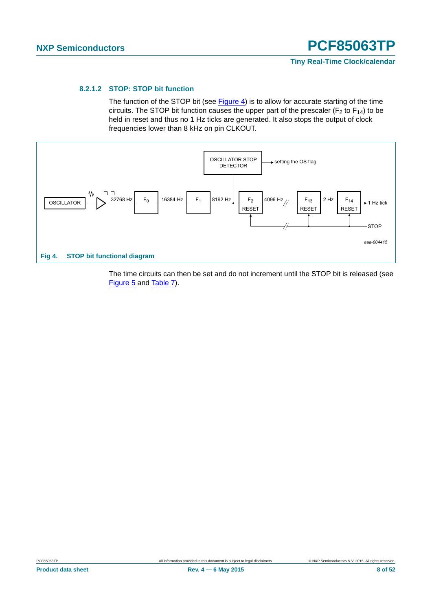### <span id="page-7-0"></span>**8.2.1.2 STOP: STOP bit function**

The function of the STOP bit (see [Figure 4\)](#page-7-1) is to allow for accurate starting of the time circuits. The STOP bit function causes the upper part of the prescaler ( $F_2$  to  $F_{14}$ ) to be held in reset and thus no 1 Hz ticks are generated. It also stops the output of clock frequencies lower than 8 kHz on pin CLKOUT.



<span id="page-7-1"></span>The time circuits can then be set and do not increment until the STOP bit is released (see [Figure 5](#page-8-0) and [Table 7](#page-8-1)).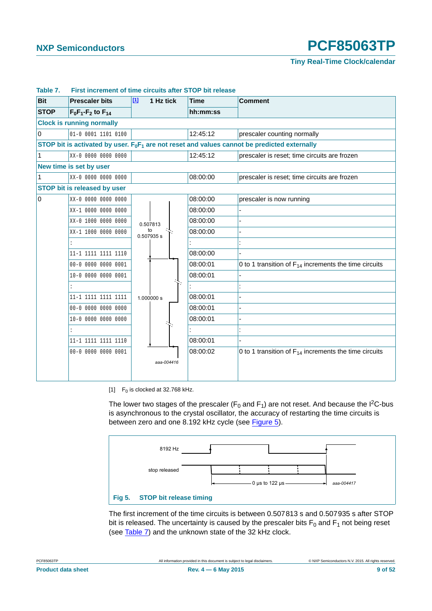**Tiny Real-Time Clock/calendar**

| <b>Bit</b>     | <b>Prescaler bits</b>               | $\boxed{11}$<br>1 Hz tick | <b>Time</b> | <b>Comment</b>                                                                                  |
|----------------|-------------------------------------|---------------------------|-------------|-------------------------------------------------------------------------------------------------|
| <b>STOP</b>    | $F_0F_1-F_2$ to $F_{14}$            |                           | hh:mm:ss    |                                                                                                 |
|                | <b>Clock is running normally</b>    |                           |             |                                                                                                 |
| $\mathbf 0$    | 01-0 0001 1101 0100                 |                           | 12:45:12    | prescaler counting normally                                                                     |
|                |                                     |                           |             | STOP bit is activated by user. $F_0F_1$ are not reset and values cannot be predicted externally |
| 1              | XX-0 0000 0000 0000                 |                           | 12:45:12    | prescaler is reset; time circuits are frozen                                                    |
|                | New time is set by user             |                           |             |                                                                                                 |
| 1              | XX-0 0000 0000 0000                 |                           | 08:00:00    | prescaler is reset; time circuits are frozen                                                    |
|                | <b>STOP bit is released by user</b> |                           |             |                                                                                                 |
| $\overline{0}$ | XX-0 0000 0000 0000                 |                           | 08:00:00    | prescaler is now running                                                                        |
|                | XX-1 0000 0000 0000                 |                           | 08:00:00    |                                                                                                 |
|                | XX-0 1000 0000 0000                 | 0.507813                  | 08:00:00    |                                                                                                 |
|                | XX-1 1000 0000 0000                 | to<br>0.507935 s          | 08:00:00    |                                                                                                 |
|                | $\ddot{\cdot}$                      |                           |             |                                                                                                 |
|                | 11-1 1111 1111 1110                 |                           | 08:00:00    |                                                                                                 |
|                | 00-0 0000 0000 0001                 |                           | 08:00:01    | 0 to 1 transition of $F_{14}$ increments the time circuits                                      |
|                | 10-0 0000 0000 0001                 |                           | 08:00:01    |                                                                                                 |
|                | ÷                                   |                           |             |                                                                                                 |
|                | 11-1 1111 1111 1111                 | 1.000000 s                | 08:00:01    |                                                                                                 |
|                |                                     |                           | 08:00:01    |                                                                                                 |
|                | 10-0 0000 0000 0000                 |                           | 08:00:01    |                                                                                                 |
|                | $\ddot{\cdot}$                      |                           |             |                                                                                                 |
|                | 11-1 1111 1111 1110                 |                           | 08:00:01    |                                                                                                 |
|                | 00-0 0000 0000 0001                 |                           | 08:00:02    | 0 to 1 transition of $F_{14}$ increments the time circuits                                      |
|                |                                     | aaa-004416                |             |                                                                                                 |
|                |                                     |                           |             |                                                                                                 |

#### <span id="page-8-1"></span>**Table 7. First increment of time circuits after STOP bit release**

<span id="page-8-2"></span>[1]  $F_0$  is clocked at 32.768 kHz.

The lower two stages of the prescaler ( $F_0$  and  $F_1$ ) are not reset. And because the I<sup>2</sup>C-bus is asynchronous to the crystal oscillator, the accuracy of restarting the time circuits is between zero and one 8.192 kHz cycle (see [Figure 5](#page-8-0)).



<span id="page-8-0"></span>The first increment of the time circuits is between 0.507813 s and 0.507935 s after STOP bit is released. The uncertainty is caused by the prescaler bits  $F_0$  and  $F_1$  not being reset (see [Table 7\)](#page-8-1) and the unknown state of the 32 kHz clock.

|--|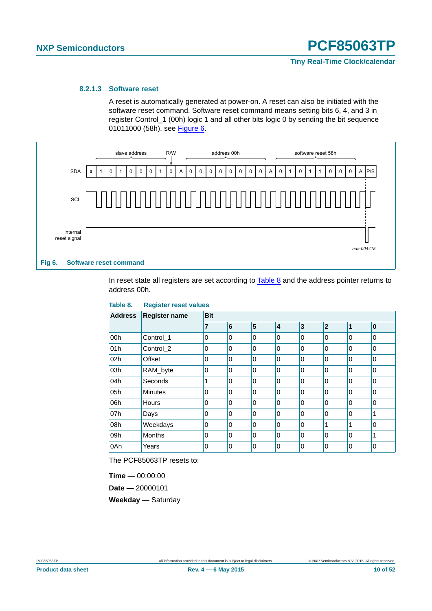#### <span id="page-9-1"></span>**8.2.1.3 Software reset**

<span id="page-9-0"></span>A reset is automatically generated at power-on. A reset can also be initiated with the software reset command. Software reset command means setting bits 6, 4, and 3 in register Control\_1 (00h) logic 1 and all other bits logic 0 by sending the bit sequence 01011000 (58h), see [Figure 6.](#page-9-3)



<span id="page-9-3"></span>In reset state all registers are set according to [Table 8](#page-9-2) and the address pointer returns to address 00h.

<span id="page-9-2"></span>

| Table 8.       | <b>Register reset values</b> |            |          |                         |          |          |                |          |          |  |
|----------------|------------------------------|------------|----------|-------------------------|----------|----------|----------------|----------|----------|--|
| <b>Address</b> | <b>Register name</b>         | <b>Bit</b> |          |                         |          |          |                |          |          |  |
|                |                              | 7          | 6        | $\overline{\mathbf{5}}$ | 4        | 3        | $\overline{2}$ | 1        | 0        |  |
| 00h            | Control 1                    | 0          | 0        | 0                       | 0        | 0        | $\Omega$       | 0        | $\Omega$ |  |
| 01h            | Control_2                    | $\Omega$   | $\Omega$ | 0                       | 0        | $\Omega$ | $\Omega$       | 0        | $\Omega$ |  |
| 02h            | Offset                       | $\Omega$   | $\Omega$ | 0                       | 0        | $\Omega$ | $\Omega$       | 0        | $\Omega$ |  |
| 03h            | RAM_byte                     | $\Omega$   | 0        | 0                       | 0        | $\Omega$ | $\Omega$       | 0        | $\Omega$ |  |
| 04h            | Seconds                      | 1          | $\Omega$ | $\mathbf 0$             | 0        | $\Omega$ | $\Omega$       | 0        | $\Omega$ |  |
| 05h            | <b>Minutes</b>               | $\Omega$   | $\Omega$ | 0                       | 0        | $\Omega$ | $\Omega$       | 0        | 0        |  |
| 06h            | Hours                        | $\Omega$   | $\Omega$ | $\Omega$                | $\Omega$ | $\Omega$ | $\Omega$       | 0        | $\Omega$ |  |
| 07h            | Days                         | $\Omega$   | $\Omega$ | 0                       | 0        | $\Omega$ | $\Omega$       | $\Omega$ | 1        |  |
| 08h            | Weekdays                     | $\Omega$   | $\Omega$ | 0                       | 0        | 0        | 1              | 1        | $\Omega$ |  |
| 09h            | <b>Months</b>                | $\Omega$   | $\Omega$ | $\Omega$                | $\Omega$ | $\Omega$ | $\Omega$       | 0        | 1        |  |
| 0Ah            | Years                        | $\Omega$   | 0        | 0                       | 0        | 0        | 0              | 0        | $\Omega$ |  |

The PCF85063TP resets to:

**Time —** 00:00:00 **Date —** 20000101 **Weekday —** Saturday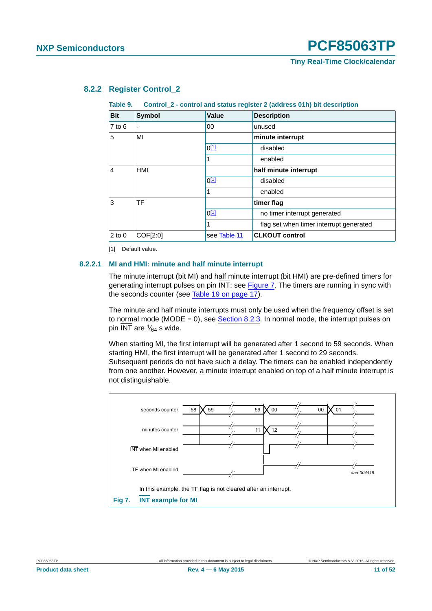| $1$ univ $\overline{v}$<br>$\frac{1}{2}$ of $\frac{1}{2}$ control and states register $\frac{1}{2}$ (agaress of iii) but acsomption |           |              |                                         |  |  |
|-------------------------------------------------------------------------------------------------------------------------------------|-----------|--------------|-----------------------------------------|--|--|
| <b>Bit</b>                                                                                                                          | Symbol    | <b>Value</b> | <b>Description</b>                      |  |  |
| $7$ to $6$                                                                                                                          |           | 00           | unused                                  |  |  |
| 5                                                                                                                                   | MI        |              | minute interrupt                        |  |  |
|                                                                                                                                     |           | $0^{[1]}$    | disabled                                |  |  |
|                                                                                                                                     |           | 1            | enabled                                 |  |  |
| HMI<br>4                                                                                                                            |           |              | half minute interrupt                   |  |  |
|                                                                                                                                     |           | $0^{[1]}$    | disabled                                |  |  |
|                                                                                                                                     |           | 1            | enabled                                 |  |  |
| 3                                                                                                                                   | <b>TF</b> |              | timer flag                              |  |  |
|                                                                                                                                     |           | $0^{[1]}$    | no timer interrupt generated            |  |  |
|                                                                                                                                     |           | 1            | flag set when timer interrupt generated |  |  |
| $2$ to $0$                                                                                                                          | COF[2:0]  | see Table 11 | <b>CLKOUT control</b>                   |  |  |

### <span id="page-10-5"></span>**8.2.2 Register Control\_2**

<span id="page-10-4"></span><span id="page-10-0"></span>**Table 9. Control\_2 - control and status register 2 (address 01h) bit description**

<span id="page-10-1"></span>[1] Default value.

#### <span id="page-10-3"></span>**8.2.2.1 MI and HMI: minute and half minute interrupt**

The minute interrupt (bit MI) and half minute interrupt (bit HMI) are pre-defined timers for generating interrupt pulses on pin INT; see [Figure 7](#page-10-2). The timers are running in sync with the seconds counter (see [Table 19 on page 17\)](#page-16-2).

The minute and half minute interrupts must only be used when the frequency offset is set to normal mode (MODE =  $0$ ), see [Section 8.2.3.](#page-12-1) In normal mode, the interrupt pulses on pin INT are  $\frac{1}{64}$  s wide.

When starting MI, the first interrupt will be generated after 1 second to 59 seconds. When starting HMI, the first interrupt will be generated after 1 second to 29 seconds. Subsequent periods do not have such a delay. The timers can be enabled independently from one another. However, a minute interrupt enabled on top of a half minute interrupt is not distinguishable.



<span id="page-10-2"></span>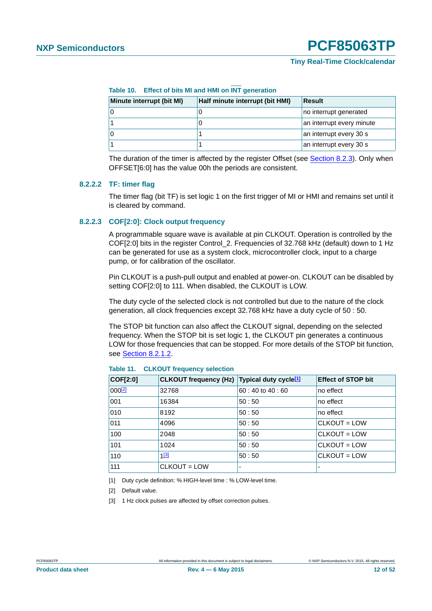### **Tiny Real-Time Clock/calendar**

| Minute interrupt (bit MI) | Half minute interrupt (bit HMI) | Result                    |
|---------------------------|---------------------------------|---------------------------|
|                           |                                 | no interrupt generated    |
|                           |                                 | an interrupt every minute |
|                           |                                 | an interrupt every 30 s   |
|                           |                                 | an interrupt every 30 s   |

<span id="page-11-4"></span>**Table 10. Effect of bits MI and HMI on INT generation**

The duration of the timer is affected by the register Offset (see [Section 8.2.3\)](#page-12-1). Only when OFFSET[6:0] has the value 00h the periods are consistent.

#### <span id="page-11-5"></span>**8.2.2.2 TF: timer flag**

The timer flag (bit TF) is set logic 1 on the first trigger of MI or HMI and remains set until it is cleared by command.

### <span id="page-11-6"></span>**8.2.2.3 COF[2:0]: Clock output frequency**

A programmable square wave is available at pin CLKOUT. Operation is controlled by the COF[2:0] bits in the register Control\_2. Frequencies of 32.768 kHz (default) down to 1 Hz can be generated for use as a system clock, microcontroller clock, input to a charge pump, or for calibration of the oscillator.

Pin CLKOUT is a push-pull output and enabled at power-on. CLKOUT can be disabled by setting COF[2:0] to 111. When disabled, the CLKOUT is LOW.

The duty cycle of the selected clock is not controlled but due to the nature of the clock generation, all clock frequencies except 32.768 kHz have a duty cycle of 50 : 50.

The STOP bit function can also affect the CLKOUT signal, depending on the selected frequency. When the STOP bit is set logic 1, the CLKOUT pin generates a continuous LOW for those frequencies that can be stopped. For more details of the STOP bit function, see [Section 8.2.1.2.](#page-7-0)

| COF[2:0]    | CLKOUT frequency (Hz) Typical duty cycle <sup>[1]</sup> |                          | <b>Effect of STOP bit</b> |
|-------------|---------------------------------------------------------|--------------------------|---------------------------|
| $000^{[2]}$ | 32768                                                   | $60:40$ to $40:60$       | no effect                 |
| 001         | 16384                                                   | 50:50                    | no effect                 |
| 010         | 8192                                                    | 50:50                    | no effect                 |
| 011         | 4096                                                    | 50:50                    | CLKOUT = LOW              |
| 100         | 2048                                                    | 50:50                    | CLKOUT = LOW              |
| 101         | 1024                                                    | 50:50                    | CLKOUT = LOW              |
| 110         | $1^{[3]}$                                               | 50:50                    | CLKOUT = LOW              |
| 111         | $CLKOUT = LOW$                                          | $\overline{\phantom{0}}$ |                           |

<span id="page-11-0"></span>**Table 11. CLKOUT frequency selection**

<span id="page-11-1"></span>[1] Duty cycle definition: % HIGH-level time : % LOW-level time.

<span id="page-11-2"></span>[2] Default value.

<span id="page-11-3"></span>[3] 1 Hz clock pulses are affected by offset correction pulses.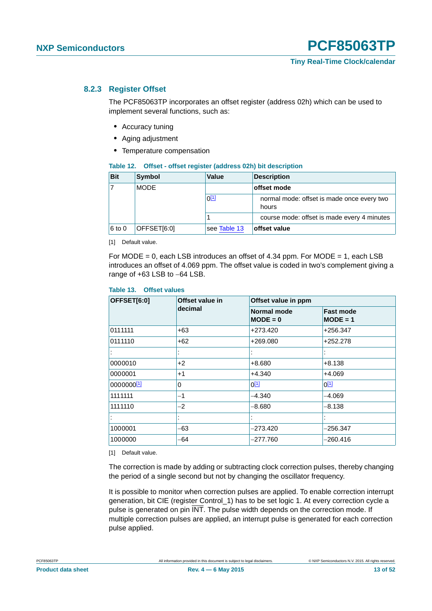### <span id="page-12-1"></span>**8.2.3 Register Offset**

The PCF85063TP incorporates an offset register (address 02h) which can be used to implement several functions, such as:

- <span id="page-12-0"></span>**•** Accuracy tuning
- **•** Aging adjustment
- **•** Temperature compensation

<span id="page-12-5"></span>

|  |  | Table 12. Offset - offset register (address 02h) bit description |
|--|--|------------------------------------------------------------------|
|--|--|------------------------------------------------------------------|

| <b>Bit</b> | Symbol      | <b>Value</b> | <b>Description</b>                                  |
|------------|-------------|--------------|-----------------------------------------------------|
| 17         | <b>MODE</b> |              | offset mode                                         |
|            |             | $0^{[1]}$    | normal mode: offset is made once every two<br>hours |
|            |             |              | course mode: offset is made every 4 minutes         |
| $6$ to 0   | OFFSET[6:0] | see Table 13 | offset value                                        |

<span id="page-12-2"></span>[1] Default value.

For MODE = 0, each LSB introduces an offset of 4.34 ppm. For MODE = 1, each LSB introduces an offset of 4.069 ppm. The offset value is coded in two's complement giving a range of  $+63$  LSB to  $-64$  LSB.

#### <span id="page-12-3"></span>**Table 13. Offset values**

| OFFSET[6:0] | Offset value in<br>decimal | Offset value in ppm              |                                |  |
|-------------|----------------------------|----------------------------------|--------------------------------|--|
|             |                            | <b>Normal mode</b><br>$MODE = 0$ | <b>Fast mode</b><br>$MODE = 1$ |  |
| 0111111     | $+63$                      | +273.420                         | +256.347                       |  |
| 0111110     | $+62$                      | +269.080                         | +252.278                       |  |
|             |                            |                                  |                                |  |
| 0000010     | $+2$                       | +8.680                           | $+8.138$                       |  |
| 0000001     | $+1$                       | +4.340                           | +4.069                         |  |
| 0000000[1]  | $\Omega$                   | $0^{[1]}$                        | $0^{[1]}$                      |  |
| 1111111     | $-1$                       | $-4.340$                         | $-4.069$                       |  |
| 1111110     | $-2$                       | $-8.680$                         | $-8.138$                       |  |
|             |                            |                                  |                                |  |
| 1000001     | -63                        | $-273.420$                       | –256.347                       |  |
| 1000000     | -64                        | $-277.760$                       | –260.416                       |  |

<span id="page-12-4"></span>[1] Default value.

The correction is made by adding or subtracting clock correction pulses, thereby changing the period of a single second but not by changing the oscillator frequency.

It is possible to monitor when correction pulses are applied. To enable correction interrupt generation, bit CIE (register Control\_1) has to be set logic 1. At every correction cycle a pulse is generated on pin INT. The pulse width depends on the correction mode. If multiple correction pulses are applied, an interrupt pulse is generated for each correction pulse applied.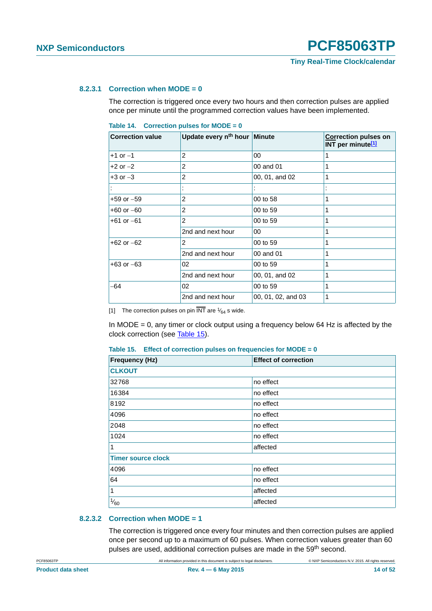### <span id="page-13-3"></span>**8.2.3.1 Correction when MODE = 0**

The correction is triggered once every two hours and then correction pulses are applied once per minute until the programmed correction values have been implemented.

<span id="page-13-2"></span>

| Table 14. Correction pulses for MODE = $0$ |  |  |  |
|--------------------------------------------|--|--|--|
|                                            |  |  |  |

| <b>Correction value</b> | Update every n <sup>th</sup> hour Minute |                    | <b>Correction pulses on</b><br>INT per minute <sup>[1]</sup> |
|-------------------------|------------------------------------------|--------------------|--------------------------------------------------------------|
| $+1$ or $-1$            | 2                                        | 00                 | 1                                                            |
| $+2$ or $-2$            | 2                                        | 00 and 01          | 1                                                            |
| $+3$ or $-3$            | 2                                        | 00, 01, and 02     | 1                                                            |
|                         |                                          |                    |                                                              |
| $+59$ or $-59$          | 2                                        | 00 to 58           | 1                                                            |
| $+60$ or $-60$          | 2                                        | 00 to 59           | 1                                                            |
| $+61$ or $-61$          | $\overline{2}$                           | 00 to 59           | 1                                                            |
|                         | 2nd and next hour                        | 00                 | 1                                                            |
| $+62$ or $-62$          | 2                                        | 00 to 59           | 1                                                            |
|                         | 2nd and next hour                        | 00 and 01          | 1                                                            |
| $+63$ or $-63$          | 02                                       | 00 to 59           | 1                                                            |
|                         | 2nd and next hour                        | 00, 01, and 02     | 1                                                            |
| -64                     | 02                                       | 00 to 59           | 1                                                            |
|                         | 2nd and next hour                        | 00, 01, 02, and 03 | 1                                                            |

<span id="page-13-0"></span>[1] The correction pulses on pin  $\overline{\text{INT}}$  are  $\frac{1}{64}$  s wide.

In MODE = 0, any timer or clock output using a frequency below 64 Hz is affected by the clock correction (see [Table 15](#page-13-1)).

<span id="page-13-1"></span>

|  |  |  | Table 15. Effect of correction pulses on frequencies for $MODE = 0$ |
|--|--|--|---------------------------------------------------------------------|
|  |  |  |                                                                     |

| <b>Frequency (Hz)</b>     | <b>Effect of correction</b> |
|---------------------------|-----------------------------|
| <b>CLKOUT</b>             |                             |
| 32768                     | no effect                   |
| 16384                     | no effect                   |
| 8192                      | no effect                   |
| 4096                      | no effect                   |
| 2048                      | no effect                   |
| 1024                      | no effect                   |
| 1                         | affected                    |
| <b>Timer source clock</b> |                             |
| 4096                      | no effect                   |
| 64                        | no effect                   |
| $\mathbf{1}$              | affected                    |
| $\frac{1}{60}$            | affected                    |

#### <span id="page-13-4"></span>**8.2.3.2 Correction when MODE = 1**

The correction is triggered once every four minutes and then correction pulses are applied once per second up to a maximum of 60 pulses. When correction values greater than 60 pulses are used, additional correction pulses are made in the 59<sup>th</sup> second.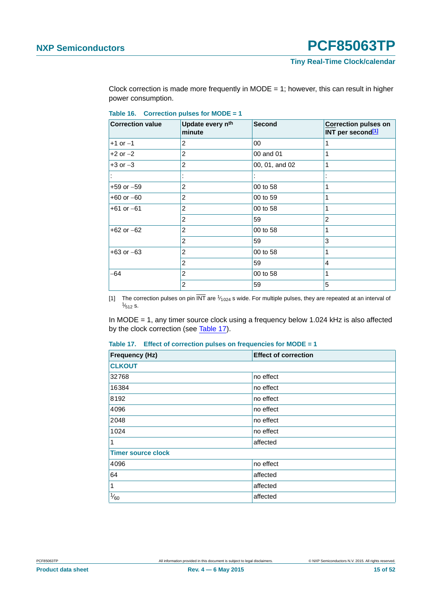**Tiny Real-Time Clock/calendar**

Clock correction is made more frequently in  $MODE = 1$ ; however, this can result in higher power consumption.

<span id="page-14-2"></span>**Table 16. Correction pulses for MODE = 1**

| <b>Correction value</b> | Update every n <sup>th</sup><br>minute | <b>Second</b>  | <b>Correction pulses on</b><br>INT per second <sup>[1]</sup> |
|-------------------------|----------------------------------------|----------------|--------------------------------------------------------------|
| $+1$ or $-1$            | 2                                      | 00             | 1                                                            |
| $+2$ or $-2$            | 2                                      | 00 and 01      | 1                                                            |
| $+3$ or $-3$            | $\overline{2}$                         | 00, 01, and 02 | 1                                                            |
|                         |                                        |                |                                                              |
| $+59$ or $-59$          | 2                                      | 00 to 58       | 1                                                            |
| $+60$ or $-60$          | 2                                      | 00 to 59       | 1                                                            |
| $+61$ or $-61$          | 2                                      | 00 to 58       | 1                                                            |
|                         | 2                                      | 59             | $\overline{2}$                                               |
| $+62$ or $-62$          | 2                                      | 00 to 58       | 1                                                            |
|                         | 2                                      | 59             | 3                                                            |
| $+63$ or $-63$          | $\overline{2}$                         | 00 to 58       | 1                                                            |
|                         | 2                                      | 59             | 4                                                            |
| -64                     | 2                                      | 00 to 58       | 1                                                            |
|                         | $\overline{2}$                         | 59             | 5                                                            |

<span id="page-14-0"></span>[1] The correction pulses on pin  $\overline{\text{INT}}$  are  $\frac{1}{1024}$  s wide. For multiple pulses, they are repeated at an interval of  $\frac{1}{512}$  s.  $\frac{1}{512}$  s.

In MODE = 1, any timer source clock using a frequency below 1.024 kHz is also affected by the clock correction (see [Table 17](#page-14-1)).

<span id="page-14-1"></span>

|  |  |  |  | Table 17. Effect of correction pulses on frequencies for MODE = $1$ |  |
|--|--|--|--|---------------------------------------------------------------------|--|
|--|--|--|--|---------------------------------------------------------------------|--|

| <b>Frequency (Hz)</b>     | <b>Effect of correction</b> |
|---------------------------|-----------------------------|
| <b>CLKOUT</b>             |                             |
| 32768                     | no effect                   |
| 16384                     | no effect                   |
| 8192                      | no effect                   |
| 4096                      | no effect                   |
| 2048                      | no effect                   |
| 1024                      | no effect                   |
| 1                         | affected                    |
| <b>Timer source clock</b> |                             |
| 4096                      | no effect                   |
| 64                        | affected                    |
| 1                         | affected                    |
| $\frac{1}{60}$            | affected                    |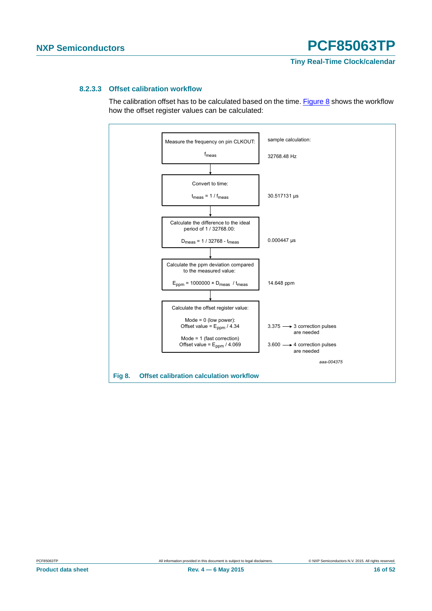#### <span id="page-15-1"></span>**8.2.3.3 Offset calibration workflow**

The calibration offset has to be calculated based on the time. [Figure 8](#page-15-0) shows the workflow how the offset register values can be calculated:



<span id="page-15-0"></span>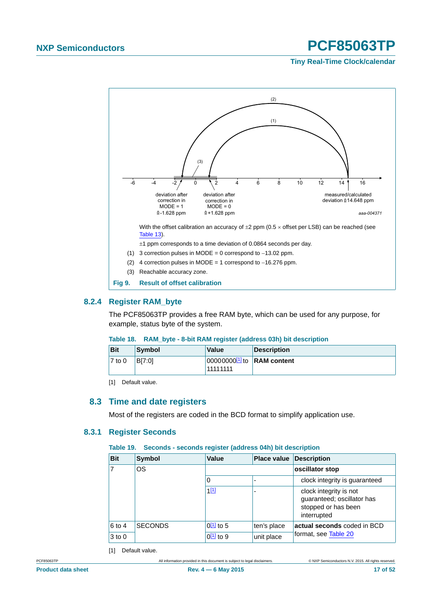### <span id="page-16-0"></span>**Tiny Real-Time Clock/calendar**

<span id="page-16-1"></span>

### <span id="page-16-7"></span><span id="page-16-6"></span>**8.2.4 Register RAM\_byte**

The PCF85063TP provides a free RAM byte, which can be used for any purpose, for example, status byte of the system.

### <span id="page-16-5"></span>**Table 18. RAM\_byte - 8-bit RAM register (address 03h) bit description**

| <b>Bit</b> | Symbol | <b>Value</b>                                               | <b>Description</b> |
|------------|--------|------------------------------------------------------------|--------------------|
| $7$ to 0   | BI7:01 | 000000000 <sup>[1]</sup> to <b>RAM</b> content<br>11111111 |                    |

<span id="page-16-4"></span>[1] Default value.

### <span id="page-16-8"></span>**8.3 Time and date registers**

Most of the registers are coded in the BCD format to simplify application use.

### <span id="page-16-9"></span>**8.3.1 Register Seconds**

#### <span id="page-16-2"></span>**Table 19. Seconds - seconds register (address 04h) bit description**

| <b>Bit</b> | <b>Symbol</b>  | Value                 | Place value | <b>Description</b>                                                                         |  |
|------------|----------------|-----------------------|-------------|--------------------------------------------------------------------------------------------|--|
| 7          | OS             |                       |             | oscillator stop                                                                            |  |
|            |                | 0                     |             | clock integrity is guaranteed                                                              |  |
|            |                | 1[1]                  | ٠           | clock integrity is not<br>guaranteed; oscillator has<br>stopped or has been<br>interrupted |  |
| 6 to 4     | <b>SECONDS</b> | $0\frac{11}{10}$ to 5 | ten's place | actual seconds coded in BCD                                                                |  |
| $3$ to $0$ |                | $0[1]$ to 9           | unit place  | format, see Table 20                                                                       |  |

<span id="page-16-3"></span>[1] Default value.

PCF85063TP All information provided in this document is subject to legal disclaimers. © NXP Semiconductors N.V. 2015. All rights reserved.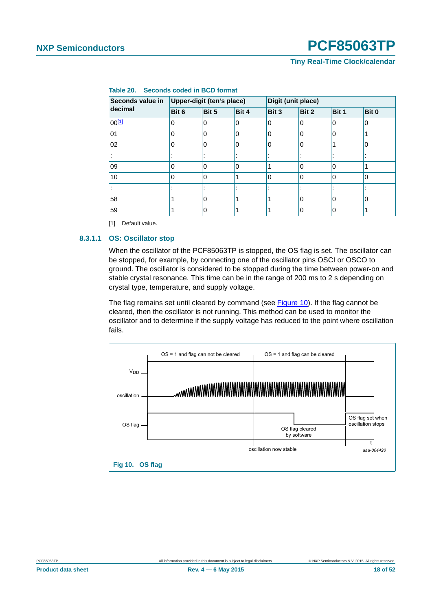### **Tiny Real-Time Clock/calendar**

| Seconds value in | Upper-digit (ten's place) |                          |             |          | Digit (unit place) |       |          |  |
|------------------|---------------------------|--------------------------|-------------|----------|--------------------|-------|----------|--|
| decimal          | Bit 6                     | Bit 5                    | Bit 4       | Bit 3    | Bit 2              | Bit 1 | Bit 0    |  |
| $00^{[1]}$       | 0                         | $\mathbf 0$              | $\mathbf 0$ | 0        | 0                  | 0     | 0        |  |
| 01               | 0                         | 0                        | $\Omega$    | $\Omega$ | 0                  | 10    |          |  |
| 02               | 0                         | $\Omega$                 | 0           | 0        | 0                  |       | $\Omega$ |  |
|                  |                           | $\overline{\phantom{a}}$ |             |          |                    | - 4   | ٠        |  |
| 09               | 0                         | $\Omega$                 | 0           | ◢        | 0                  | 0     |          |  |
| 10               | 0                         | $\Omega$                 | 1           | $\Omega$ | 0                  | 0     | $\Omega$ |  |
|                  |                           |                          |             |          |                    |       |          |  |
| 58               |                           | $\Omega$                 | 1           | 4        | 0                  | 0     | 0        |  |
| 59               |                           | $\mathbf 0$              |             |          | 0                  | 0     |          |  |

### <span id="page-17-0"></span>**Table 20. Seconds coded in BCD format**

<span id="page-17-1"></span>[1] Default value.

#### <span id="page-17-3"></span>**8.3.1.1 OS: Oscillator stop**

When the oscillator of the PCF85063TP is stopped, the OS flag is set. The oscillator can be stopped, for example, by connecting one of the oscillator pins OSCI or OSCO to ground. The oscillator is considered to be stopped during the time between power-on and stable crystal resonance. This time can be in the range of 200 ms to 2 s depending on crystal type, temperature, and supply voltage.

The flag remains set until cleared by command (see [Figure 10](#page-17-2)). If the flag cannot be cleared, then the oscillator is not running. This method can be used to monitor the oscillator and to determine if the supply voltage has reduced to the point where oscillation fails.

<span id="page-17-2"></span>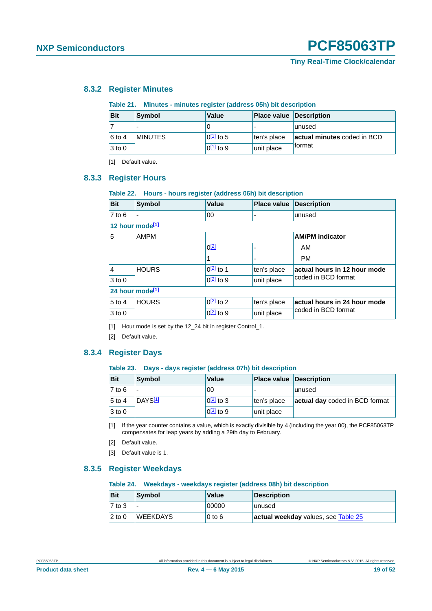### <span id="page-18-15"></span>**8.3.2 Register Minutes**

#### <span id="page-18-11"></span><span id="page-18-3"></span><span id="page-18-2"></span><span id="page-18-1"></span>**Table 21. Minutes - minutes register (address 05h) bit description**

<span id="page-18-0"></span>

| <b>Bit</b> | Symbol         | Value           | <b>Place value Description</b> |                             |
|------------|----------------|-----------------|--------------------------------|-----------------------------|
|            |                |                 |                                | unused                      |
| 6 to 4     | <b>MINUTES</b> | $ 0^{[1]}$ to 5 | ten's place                    | actual minutes coded in BCD |
| $3$ to $0$ |                | $ 0^{[1]}$ to 9 | unit place                     | <b>format</b>               |

<span id="page-18-5"></span>[1] Default value.

### <span id="page-18-4"></span>**8.3.3 Register Hours**

#### <span id="page-18-12"></span>**Table 22. Hours - hours register (address 06h) bit description**

| <b>Bit</b>                  | <b>Symbol</b>  | <b>Value</b>     | <b>Place value</b> | <b>Description</b>           |
|-----------------------------|----------------|------------------|--------------------|------------------------------|
| $7$ to 6                    | $\blacksquare$ | 00               |                    | unused                       |
| 12 hour mode <sup>[1]</sup> |                |                  |                    |                              |
| 5                           | <b>AMPM</b>    |                  |                    | <b>AM/PM</b> indicator       |
|                             |                | $0^{[2]}$        | ۰                  | AM                           |
|                             |                |                  |                    | <b>PM</b>                    |
| $\vert$ 4                   | <b>HOURS</b>   | $0[2]$ to 1      | ten's place        | actual hours in 12 hour mode |
| $3$ to 0                    |                | $Q[2]$ to 9      | unit place         | coded in BCD format          |
| 24 hour mode <sup>[1]</sup> |                |                  |                    |                              |
| $5$ to 4                    | <b>HOURS</b>   | $0[2]$ to 2      | ten's place        | actual hours in 24 hour mode |
| $3$ to 0                    |                | $0\sqrt{2}$ to 9 | unit place         | coded in BCD format          |

<span id="page-18-6"></span>[1] Hour mode is set by the 12\_24 bit in register Control\_1.

<span id="page-18-7"></span>[2] Default value.

### <span id="page-18-16"></span>**8.3.4 Register Days**

#### <span id="page-18-13"></span>**Table 23. Days - days register (address 07h) bit description**

| <b>Bit</b>          | Symbol              | <b>Value</b>     | <b>Place value Description</b> |                                |
|---------------------|---------------------|------------------|--------------------------------|--------------------------------|
| $\overline{7}$ to 6 |                     | 00               |                                | lunused                        |
| $5$ to 4            | DAYS <sup>[1]</sup> | $\sqrt{2}$ to 3  | ten's place                    | actual day coded in BCD format |
| $3$ to 0            |                     | $0\sqrt{3}$ to 9 | unit place                     |                                |

<span id="page-18-8"></span>[1] If the year counter contains a value, which is exactly divisible by 4 (including the year 00), the PCF85063TP compensates for leap years by adding a 29th day to February.

- <span id="page-18-9"></span>[2] Default value.
- <span id="page-18-10"></span>[3] Default value is 1.

### <span id="page-18-17"></span>**8.3.5 Register Weekdays**

#### <span id="page-18-14"></span>**Table 24. Weekdays - weekdays register (address 08h) bit description**

| <b>Bit</b>      | Symbol          | Value    | Description                         |
|-----------------|-----------------|----------|-------------------------------------|
| $\sqrt{7}$ to 3 |                 | 00000    | unused                              |
| $2$ to 0        | <b>WEEKDAYS</b> | $0$ to 6 | actual weekday values, see Table 25 |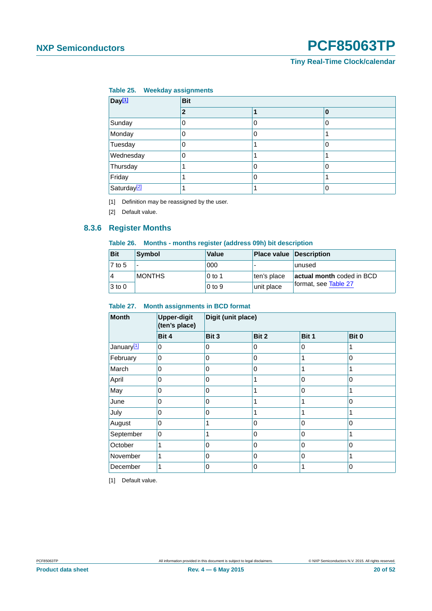<span id="page-19-0"></span>**Tiny Real-Time Clock/calendar**

#### <span id="page-19-1"></span>**Table 25. Weekday assignments**

| Day <sup>[1]</sup>      | <b>Bit</b> |   |   |  |  |  |  |
|-------------------------|------------|---|---|--|--|--|--|
|                         | 2          |   | 0 |  |  |  |  |
| Sunday                  | 0          | 0 | 0 |  |  |  |  |
| Monday                  |            | 0 |   |  |  |  |  |
| Tuesday                 | 0          |   | 0 |  |  |  |  |
| Wednesday               | 0          |   |   |  |  |  |  |
| Thursday                |            | 0 | 0 |  |  |  |  |
| Friday                  |            | 0 |   |  |  |  |  |
| Saturday <sup>[2]</sup> |            |   | 0 |  |  |  |  |

<span id="page-19-2"></span>[1] Definition may be reassigned by the user.

<span id="page-19-3"></span>[2] Default value.

### <span id="page-19-7"></span>**8.3.6 Register Months**

#### <span id="page-19-6"></span>**Table 26. Months - months register (address 09h) bit description**

| <b>Bit</b> | Symbol        | Value      | <b>Place value Description</b> |                           |
|------------|---------------|------------|--------------------------------|---------------------------|
| 7 to 5     |               | 000        |                                | lunused                   |
| 4          | <b>MONTHS</b> | $0$ to 1   | ten's place                    | actual month coded in BCD |
| $3$ to 0   |               | $0$ to $9$ | unit place                     | format, see Table 27      |

### <span id="page-19-4"></span>**Table 27. Month assignments in BCD format**

| <b>Month</b>           | <b>Upper-digit</b><br>(ten's place) | Digit (unit place) |       |             |       |  |  |  |
|------------------------|-------------------------------------|--------------------|-------|-------------|-------|--|--|--|
|                        | Bit 4                               | Bit 3              | Bit 2 | Bit 1       | Bit 0 |  |  |  |
| January <sup>[1]</sup> | 0                                   | 0                  | 0     | 0           |       |  |  |  |
| February               | 0                                   | 0                  | 0     | 1           | 0     |  |  |  |
| March                  | 0                                   | 0                  | 0     |             |       |  |  |  |
| April                  | 0                                   | 0                  |       | $\mathbf 0$ | 0     |  |  |  |
| May                    | 0                                   | 0                  |       | $\Omega$    |       |  |  |  |
| June                   | $\Omega$                            | $\Omega$           | 1     | 1           | 0     |  |  |  |
| July                   | 0                                   | 0                  |       |             |       |  |  |  |
| August                 | 0                                   | 1                  | 0     | $\Omega$    | 0     |  |  |  |
| September              | 0                                   |                    | 0     | 0           |       |  |  |  |
| October                |                                     | 0                  | 0     | $\Omega$    | 0     |  |  |  |
| November               |                                     | 0                  | 0     | 0           |       |  |  |  |
| December               |                                     | 0                  | 0     |             | 0     |  |  |  |

<span id="page-19-5"></span>[1] Default value.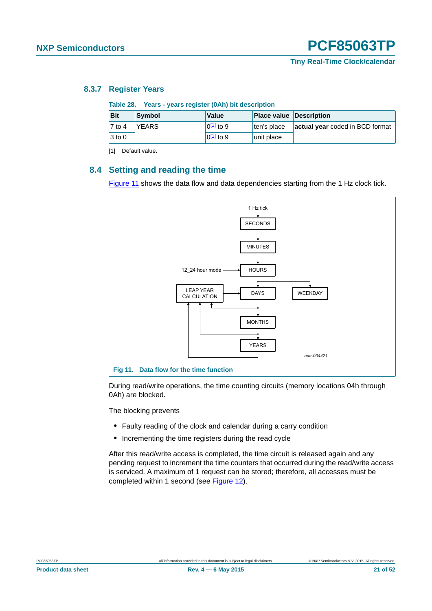### <span id="page-20-4"></span>**8.3.7 Register Years**

<span id="page-20-3"></span><span id="page-20-0"></span>

| Table 28. Years - years register (0Ah) bit description |              |                 |                                |                                 |  |  |  |
|--------------------------------------------------------|--------------|-----------------|--------------------------------|---------------------------------|--|--|--|
| <b>Bit</b>                                             | Symbol       | <b>Value</b>    | <b>Place value Description</b> |                                 |  |  |  |
| $ 7 \text{ to } 4$                                     | <b>YEARS</b> | $ 0^{11} $ to 9 | ten's place                    | actual year coded in BCD format |  |  |  |
| $3$ to 0                                               |              | $[0[1]]$ to 9   | unit place                     |                                 |  |  |  |

<span id="page-20-1"></span>[1] Default value.

### <span id="page-20-5"></span>**8.4 Setting and reading the time**

[Figure 11](#page-20-2) shows the data flow and data dependencies starting from the 1 Hz clock tick.



<span id="page-20-2"></span>During read/write operations, the time counting circuits (memory locations 04h through 0Ah) are blocked.

The blocking prevents

- **•** Faulty reading of the clock and calendar during a carry condition
- **•** Incrementing the time registers during the read cycle

After this read/write access is completed, the time circuit is released again and any pending request to increment the time counters that occurred during the read/write access is serviced. A maximum of 1 request can be stored; therefore, all accesses must be completed within 1 second (see [Figure 12](#page-21-0)).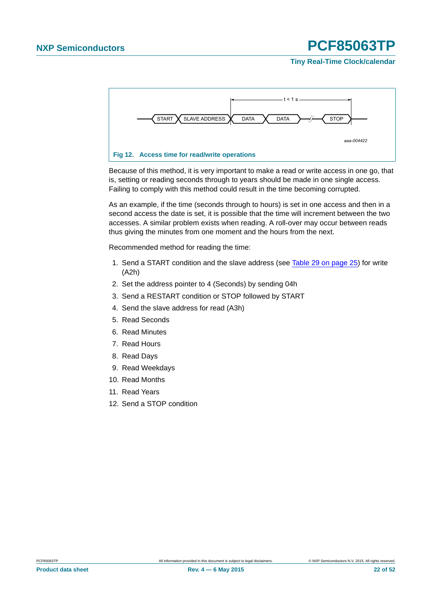### **Tiny Real-Time Clock/calendar**



<span id="page-21-0"></span>Because of this method, it is very important to make a read or write access in one go, that is, setting or reading seconds through to years should be made in one single access. Failing to comply with this method could result in the time becoming corrupted.

As an example, if the time (seconds through to hours) is set in one access and then in a second access the date is set, it is possible that the time will increment between the two accesses. A similar problem exists when reading. A roll-over may occur between reads thus giving the minutes from one moment and the hours from the next.

Recommended method for reading the time:

- 1. Send a START condition and the slave address (see [Table 29 on page 25](#page-24-0)) for write (A2h)
- 2. Set the address pointer to 4 (Seconds) by sending 04h
- 3. Send a RESTART condition or STOP followed by START
- 4. Send the slave address for read (A3h)
- 5. Read Seconds
- 6. Read Minutes
- 7. Read Hours
- 8. Read Days
- 9. Read Weekdays
- 10. Read Months
- 11. Read Years
- 12. Send a STOP condition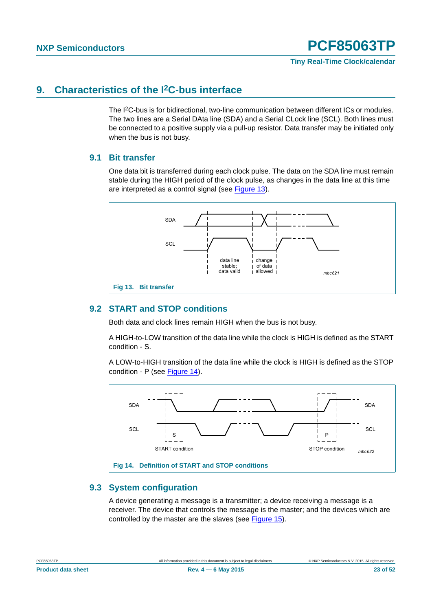### <span id="page-22-2"></span>**9. Characteristics of the I2C-bus interface**

The I2C-bus is for bidirectional, two-line communication between different ICs or modules. The two lines are a Serial DAta line (SDA) and a Serial CLock line (SCL). Both lines must be connected to a positive supply via a pull-up resistor. Data transfer may be initiated only when the bus is not busy.

### <span id="page-22-3"></span>**9.1 Bit transfer**

One data bit is transferred during each clock pulse. The data on the SDA line must remain stable during the HIGH period of the clock pulse, as changes in the data line at this time are interpreted as a control signal (see [Figure 13\)](#page-22-0).



### <span id="page-22-4"></span><span id="page-22-0"></span>**9.2 START and STOP conditions**

Both data and clock lines remain HIGH when the bus is not busy.

A HIGH-to-LOW transition of the data line while the clock is HIGH is defined as the START condition - S.

A LOW-to-HIGH transition of the data line while the clock is HIGH is defined as the STOP condition - P (see [Figure 14\)](#page-22-1).



### <span id="page-22-5"></span><span id="page-22-1"></span>**9.3 System configuration**

A device generating a message is a transmitter; a device receiving a message is a receiver. The device that controls the message is the master; and the devices which are controlled by the master are the slaves (see [Figure 15\)](#page-23-0).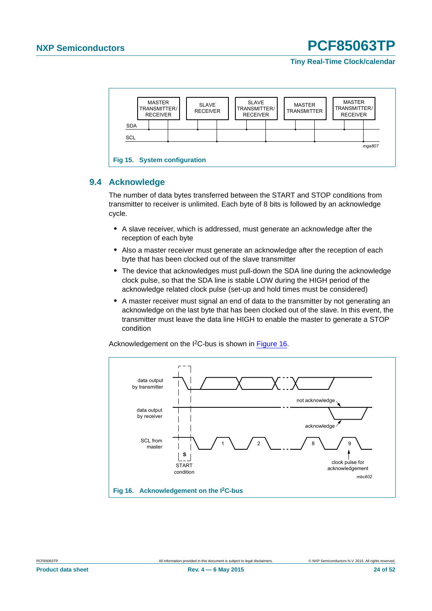**Tiny Real-Time Clock/calendar**



### <span id="page-23-2"></span><span id="page-23-0"></span>**9.4 Acknowledge**

The number of data bytes transferred between the START and STOP conditions from transmitter to receiver is unlimited. Each byte of 8 bits is followed by an acknowledge cycle.

- **•** A slave receiver, which is addressed, must generate an acknowledge after the reception of each byte
- **•** Also a master receiver must generate an acknowledge after the reception of each byte that has been clocked out of the slave transmitter
- **•** The device that acknowledges must pull-down the SDA line during the acknowledge clock pulse, so that the SDA line is stable LOW during the HIGH period of the acknowledge related clock pulse (set-up and hold times must be considered)
- **•** A master receiver must signal an end of data to the transmitter by not generating an acknowledge on the last byte that has been clocked out of the slave. In this event, the transmitter must leave the data line HIGH to enable the master to generate a STOP condition

Acknowledgement on the I<sup>2</sup>C-bus is shown in [Figure 16.](#page-23-1)



<span id="page-23-1"></span>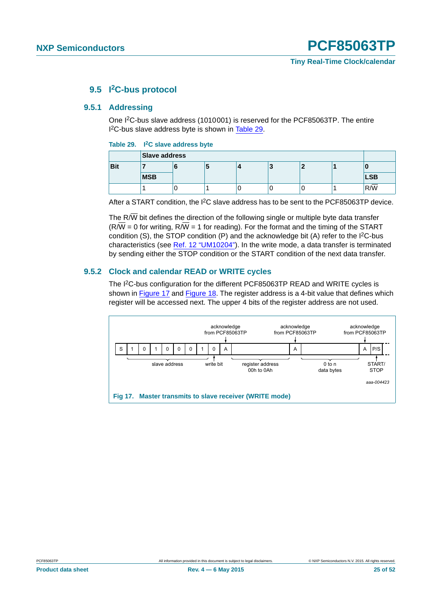### **9.5 I2C-bus protocol**

### <span id="page-24-3"></span><span id="page-24-2"></span>**9.5.1 Addressing**

One I2C-bus slave address (1010001) is reserved for the PCF85063TP. The entire I<sup>2</sup>C-bus slave address byte is shown in [Table 29.](#page-24-0)

#### <span id="page-24-0"></span>**Table 29. I2C slave address byte**

|            | <b>Slave address</b> |  |  |  |  |  |  |            |
|------------|----------------------|--|--|--|--|--|--|------------|
| <b>Bit</b> |                      |  |  |  |  |  |  |            |
|            | <b>MSB</b>           |  |  |  |  |  |  | <b>LSB</b> |
|            |                      |  |  |  |  |  |  | R/W        |

After a START condition, the I2C slave address has to be sent to the PCF85063TP device.

The R $\overline{W}$  bit defines the direction of the following single or multiple byte data transfer  $(R/\overline{W} = 0$  for writing,  $R/\overline{W} = 1$  for reading). For the format and the timing of the START condition (S), the STOP condition  $(P)$  and the acknowledge bit  $(A)$  refer to the  $I<sup>2</sup>C-bus$ characteristics (see [Ref. 12 "UM10204"\)](#page-45-0). In the write mode, a data transfer is terminated by sending either the STOP condition or the START condition of the next data transfer.

### <span id="page-24-4"></span>**9.5.2 Clock and calendar READ or WRITE cycles**

The I2C-bus configuration for the different PCF85063TP READ and WRITE cycles is shown in [Figure 17](#page-24-1) and [Figure 18.](#page-25-0) The register address is a 4-bit value that defines which register will be accessed next. The upper 4 bits of the register address are not used.

<span id="page-24-1"></span>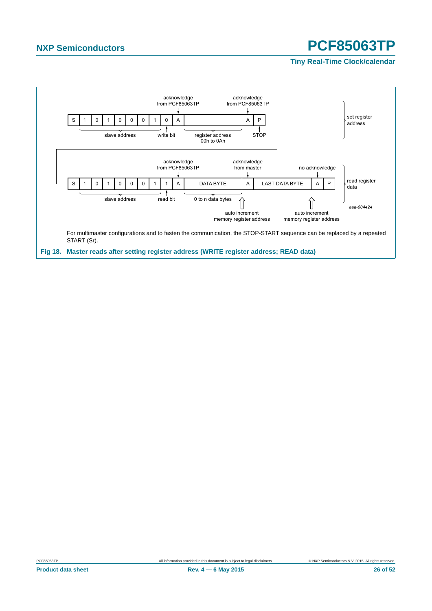<span id="page-25-0"></span>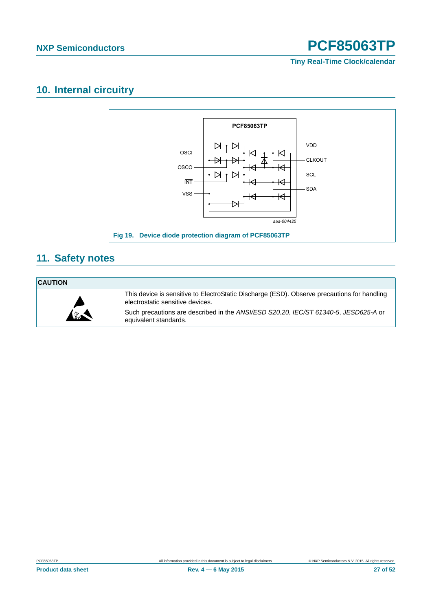**Tiny Real-Time Clock/calendar**

### <span id="page-26-1"></span>**10. Internal circuitry**



### <span id="page-26-2"></span>**11. Safety notes**

### **CAUTION**



<span id="page-26-0"></span>This device is sensitive to ElectroStatic Discharge (ESD). Observe precautions for handling electrostatic sensitive devices.

Such precautions are described in the *ANSI/ESD S20.20*, *IEC/ST 61340-5*, *JESD625-A* or equivalent standards.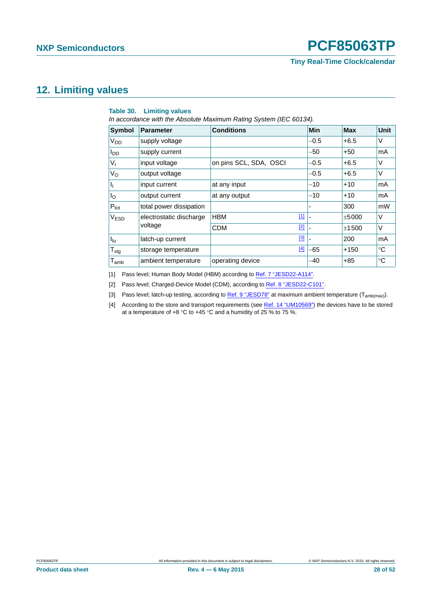### <span id="page-27-5"></span>**12. Limiting values**

#### <span id="page-27-4"></span>**Table 30. Limiting values**

*In accordance with the Absolute Maximum Rating System (IEC 60134).*

| <b>Symbol</b>               | <b>Parameter</b>        | <b>Conditions</b>      | <b>Min</b> | <b>Max</b> | <b>Unit</b> |
|-----------------------------|-------------------------|------------------------|------------|------------|-------------|
| V <sub>DD</sub>             | supply voltage          |                        | $-0.5$     | $+6.5$     | V           |
| I <sub>DD</sub>             | supply current          |                        | -50        | $+50$      | mA          |
| Vı                          | input voltage           | on pins SCL, SDA, OSCI | $-0.5$     | $+6.5$     | V           |
| Vo                          | output voltage          |                        | $-0.5$     | $+6.5$     | V           |
| J <sub>I</sub>              | input current           | at any input           | $-10$      | $+10$      | mA          |
| Ιo                          | output current          | at any output          | $-10$      | $+10$      | mA          |
| $P_{\text{tot}}$            | total power dissipation |                        |            | 300        | mW          |
| V <sub>ESD</sub>            | electrostatic discharge | $[1]$<br><b>HBM</b>    |            | ±5000      | V           |
|                             | voltage                 | $[2]$<br><b>CDM</b>    |            | ±1500      | V           |
| $I_{\text{lu}}$             | latch-up current        | [3]                    |            | 200        | mA          |
| $T_{\text{stg}}$            | storage temperature     | $[4]$                  | $-65$      | $+150$     | $^{\circ}C$ |
| $\mathsf{T}_{\mathsf{amb}}$ | ambient temperature     | operating device       | -40        | $+85$      | °C          |

<span id="page-27-0"></span>[1] Pass level; Human Body Model (HBM) according to [Ref. 7 "JESD22-A114"](#page-45-1).

<span id="page-27-1"></span>[2] Pass level; Charged-Device Model (CDM), according to [Ref. 8 "JESD22-C101".](#page-45-2)

<span id="page-27-2"></span>[3] Pass level; latch-up testing, according to [Ref. 9 "JESD78"](#page-45-3) at maximum ambient temperature (T<sub>amb(max)</sub>).

<span id="page-27-3"></span>[4] According to the store and transport requirements (see [Ref. 14 "UM10569"\)](#page-45-4) the devices have to be stored at a temperature of +8 °C to +45 °C and a humidity of  $25\%$  to 75 %.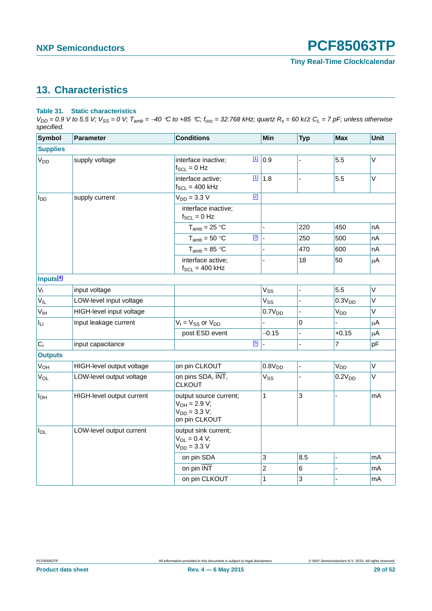### <span id="page-28-1"></span>**13. Characteristics**

### <span id="page-28-0"></span>**Table 31. Static characteristics**

 $V_{DD} = 0.9$  V to 5.5 V;  $V_{SS} = 0$  V;  $T_{amb} = -40$  °C to +85 °C;  $f_{osc} = 32.768$  kHz; quartz  $R_s = 60$  k $\Omega$ ;  $C_L = 7$  pF; unless otherwise *specified.*

| <b>Symbol</b>         | <b>Parameter</b>          | <b>Conditions</b>                                                                 | Min                   | <b>Typ</b> | <b>Max</b>         | Unit    |
|-----------------------|---------------------------|-----------------------------------------------------------------------------------|-----------------------|------------|--------------------|---------|
| <b>Supplies</b>       |                           |                                                                                   |                       |            |                    |         |
| V <sub>DD</sub>       | supply voltage            | $\boxed{1}$<br>interface inactive;<br>$f_{SCL} = 0$ Hz                            | 0.9                   |            | 5.5                | V       |
|                       |                           | $[1]$<br>interface active;<br>$f_{SCL} = 400$ kHz                                 | 1.8                   |            | 5.5                | $\vee$  |
| $I_{DD}$              | supply current            | $[2]$<br>$V_{DD} = 3.3 V$                                                         |                       |            |                    |         |
|                       |                           | interface inactive;<br>$f_{SCL} = 0$ Hz                                           |                       |            |                    |         |
|                       |                           | $T_{amb}$ = 25 °C                                                                 | $\blacksquare$        | 220        | 450                | nA      |
|                       |                           | $[3]$<br>$T_{amb} = 50 °C$                                                        |                       | 250        | 500                | nA      |
|                       |                           | $T_{amb}$ = 85 °C                                                                 |                       | 470        | 600                | nA      |
|                       |                           | interface active;<br>$f_{SCL} = 400$ kHz                                          |                       | 18         | 50                 | $\mu$ A |
| Inputs <sup>[4]</sup> |                           |                                                                                   |                       |            |                    |         |
| $V_{I}$               | input voltage             |                                                                                   | <b>V<sub>SS</sub></b> |            | 5.5                | $\vee$  |
| $V_{IL}$              | LOW-level input voltage   |                                                                                   | Vss                   |            | 0.3V <sub>DD</sub> | $\vee$  |
| V <sub>IH</sub>       | HIGH-level input voltage  |                                                                                   | 0.7V <sub>DD</sub>    |            | $V_{DD}$           | $\vee$  |
| Ιu                    | input leakage current     | $V_1 = V_{SS}$ or $V_{DD}$                                                        | $\blacksquare$        | 0          | $\overline{a}$     | $\mu$ A |
|                       |                           | post ESD event                                                                    | $-0.15$               |            | $+0.15$            | $\mu$ A |
| $C_i$                 | input capacitance         | [5]                                                                               |                       |            | $\overline{7}$     | pF      |
| <b>Outputs</b>        |                           |                                                                                   |                       |            |                    |         |
| V <sub>OH</sub>       | HIGH-level output voltage | on pin CLKOUT                                                                     | 0.8V <sub>DD</sub>    |            | V <sub>DD</sub>    | V       |
| $V_{OL}$              | LOW-level output voltage  | on pins SDA, INT,<br><b>CLKOUT</b>                                                | $V_{SS}$              |            | 0.2V <sub>DD</sub> | V       |
| $I_{OH}$              | HIGH-level output current | output source current;<br>$V_{OH} = 2.9 V;$<br>$V_{DD} = 3.3 V;$<br>on pin CLKOUT | $\mathbf{1}$          | 3          |                    | mA      |
| $I_{OL}$              | LOW-level output current  | output sink current;<br>$V_{OL} = 0.4 V;$<br>$V_{DD} = 3.3 V$                     |                       |            |                    |         |
|                       |                           | on pin SDA                                                                        | 3                     | 8.5        |                    | mA      |
|                       |                           | on pin INT                                                                        | $\overline{c}$        | 6          |                    | mA      |
|                       |                           | on pin CLKOUT                                                                     | $\mathbf{1}$          | 3          |                    | mA      |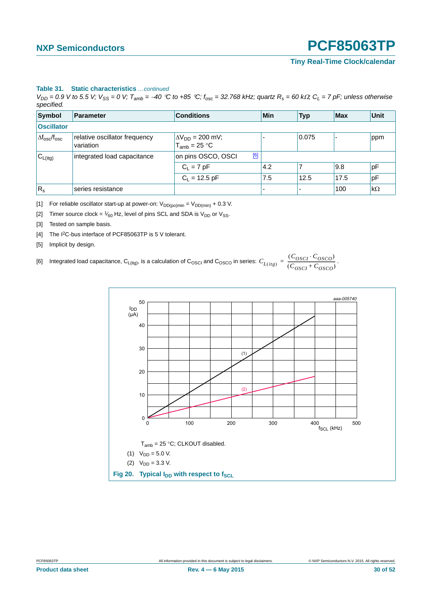#### **Table 31. Static characteristics** *…continued*

 $V_{DD} = 0.9$  V to 5.5 V;  $V_{SS} = 0$  V;  $T_{amb} = -40$  °C to +85 °C;  $f_{osc} = 32.768$  kHz; quartz  $R_s = 60$  k $\Omega$ ;  $C_L = 7$  pF; unless otherwise *specified.*

| Symbol                           | Parameter                                  | <b>Conditions</b>                              | Min            | <b>Typ</b> | <b>Max</b> | Unit      |
|----------------------------------|--------------------------------------------|------------------------------------------------|----------------|------------|------------|-----------|
| <b>Oscillator</b>                |                                            |                                                |                |            |            |           |
| $\Delta f_{\rm osc}/f_{\rm osc}$ | relative oscillator frequency<br>variation | $\Delta V_{DD}$ = 200 mV;<br>$T_{amb}$ = 25 °C |                | 0.075      |            | ppm       |
| $C_{L(itg)}$                     | integrated load capacitance                | [6]<br>on pins OSCO, OSCI                      |                |            |            |           |
|                                  |                                            | $C_L = 7 pF$                                   | 4.2            |            | 9.8        | pF        |
|                                  |                                            | $C_L = 12.5$ pF                                | 7.5            | 12.5       | 17.5       | pF        |
| $ R_{\rm s}$                     | series resistance                          |                                                | $\overline{a}$ |            | 100        | $k\Omega$ |

<span id="page-29-0"></span>[1] For reliable oscillator start-up at power-on:  $V_{DD(po)min} = V_{DD(min)} + 0.3$  V.

<span id="page-29-1"></span>[2] Timer source clock =  $\frac{1}{60}$  Hz, level of pins SCL and SDA is V<sub>DD</sub> or V<sub>SS</sub>.

- <span id="page-29-2"></span>[3] Tested on sample basis.
- <span id="page-29-3"></span>[4] The I<sup>2</sup>C-bus interface of PCF85063TP is 5 V tolerant.
- <span id="page-29-5"></span><span id="page-29-4"></span>[5] Implicit by design.

[6] Integrated load capacitance,  $C_{L(itg)}$ , is a calculation of  $C_{\rm OSCQ}$  and  $C_{\rm OSCQ}$  in series:  $C_{L(itg)} = \frac{(C_{\rm OSCI} \cdot C_{\rm OSCO})}{(C_{\rm OSCI} + C_{\rm OSCO})}$ .

<span id="page-29-6"></span>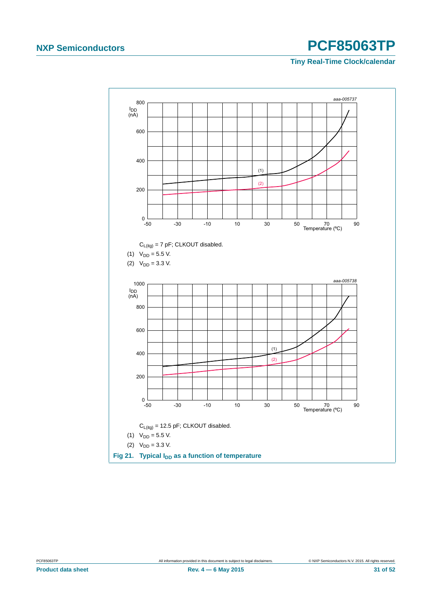<span id="page-30-0"></span>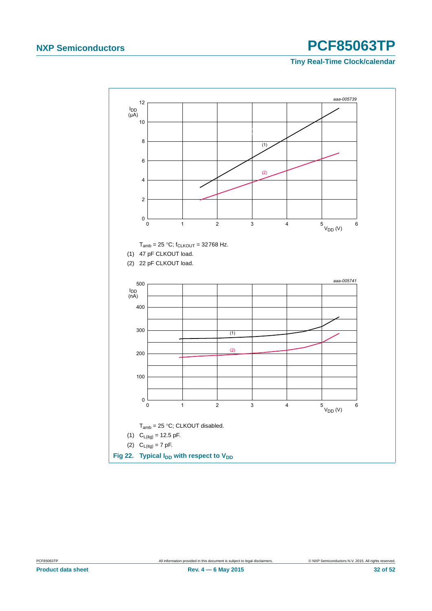<span id="page-31-0"></span>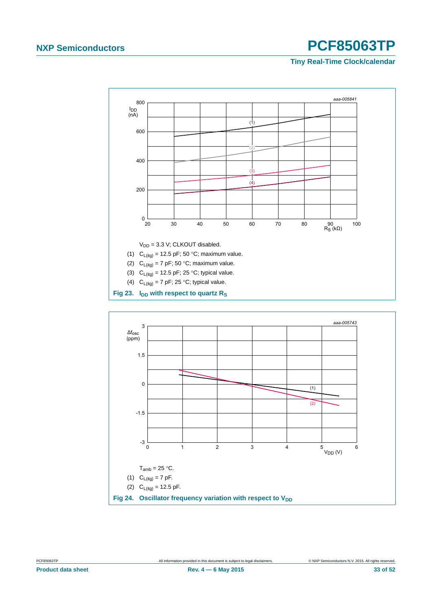

<span id="page-32-1"></span><span id="page-32-0"></span>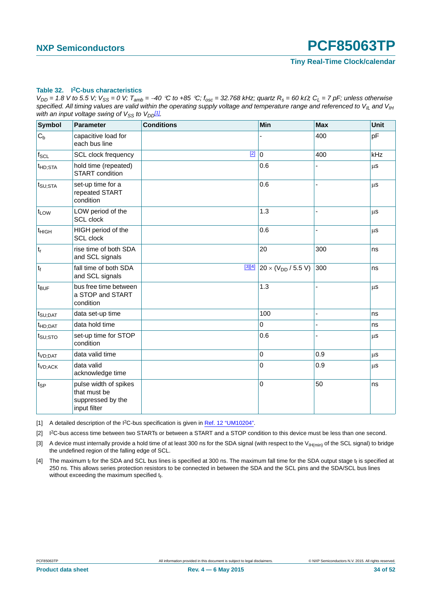#### <span id="page-33-4"></span>**Table 32. I2C-bus characteristics**

 $V_{DD}$  = 1.8 V to 5.5 V;  $V_{SS}$  = 0 V;  $T_{amb}$  = -40 °C to +85 °C;  $f_{osc}$  = 32.768 kHz; quartz  $R_s$  = 60 k $\Omega$ ;  $C_L$  = 7 pF; unless otherwise specified. All timing values are valid within the operating supply voltage and temperature range and referenced to V<sub>IL</sub> and V<sub>IH</sub> *with an input voltage swing of*  $V_{SS}$  *to*  $V_{DD}$ *[1].* 

| <b>Symbol</b>       | Parameter                                                                  | <b>Conditions</b> | Min                                                | <b>Max</b> | Unit    |
|---------------------|----------------------------------------------------------------------------|-------------------|----------------------------------------------------|------------|---------|
| $C_b$               | capacitive load for<br>each bus line                                       |                   |                                                    | 400        | pF      |
| $f_{\mathsf{SCL}}$  | SCL clock frequency                                                        | $[2]$             | $\mathbf 0$                                        | 400        | kHz     |
| $t_{HD;STA}$        | hold time (repeated)<br><b>START</b> condition                             |                   | 0.6                                                |            | μS      |
| $t_{\text{SU;STA}}$ | set-up time for a<br>repeated START<br>condition                           |                   | 0.6                                                |            | μS      |
| t <sub>LOW</sub>    | LOW period of the<br><b>SCL</b> clock                                      |                   | 1.3                                                |            | $\mu$ s |
| t <sub>HIGH</sub>   | HIGH period of the<br>SCL clock                                            |                   | 0.6                                                |            | μS      |
| $ t_r $             | rise time of both SDA<br>and SCL signals                                   |                   | 20                                                 | 300        | ns      |
| $ t_{f} $           | fall time of both SDA<br>and SCL signals                                   |                   | $\frac{[3][4]}{20}$ 20 × (V <sub>DD</sub> / 5.5 V) | 300        | ns      |
| $t_{\text{BUF}}$    | bus free time between<br>a STOP and START<br>condition                     |                   | 1.3                                                |            | μS      |
| $t_{\text{SU;DAT}}$ | data set-up time                                                           |                   | 100                                                |            | ns      |
| $t_{HD;DAT}$        | data hold time                                                             |                   | 0                                                  |            | ns      |
| t <sub>SU:STO</sub> | set-up time for STOP<br>condition                                          |                   | 0.6                                                |            | μS      |
| t <sub>VD;DAT</sub> | data valid time                                                            |                   | 0                                                  | 0.9        | μS      |
| t <sub>VD;ACK</sub> | data valid<br>acknowledge time                                             |                   | 0                                                  | 0.9        | μS      |
| $t_{SP}$            | pulse width of spikes<br>that must be<br>suppressed by the<br>input filter |                   | 0                                                  | 50         | ns      |

<span id="page-33-0"></span>[1] A detailed description of the I<sup>2</sup>C-bus specification is given in [Ref. 12 "UM10204".](#page-45-0)

<span id="page-33-1"></span>[2] I2C-bus access time between two STARTs or between a START and a STOP condition to this device must be less than one second.

<span id="page-33-2"></span>[3] A device must internally provide a hold time of at least 300 ns for the SDA signal (with respect to the V<sub>IH(min)</sub> of the SCL signal) to bridge the undefined region of the falling edge of SCL.

<span id="page-33-3"></span>[4] The maximum  $t_f$  for the SDA and SCL bus lines is specified at 300 ns. The maximum fall time for the SDA output stage  $t_f$  is specified at 250 ns. This allows series protection resistors to be connected in between the SDA and the SCL pins and the SDA/SCL bus lines without exceeding the maximum specified  $t_f$ .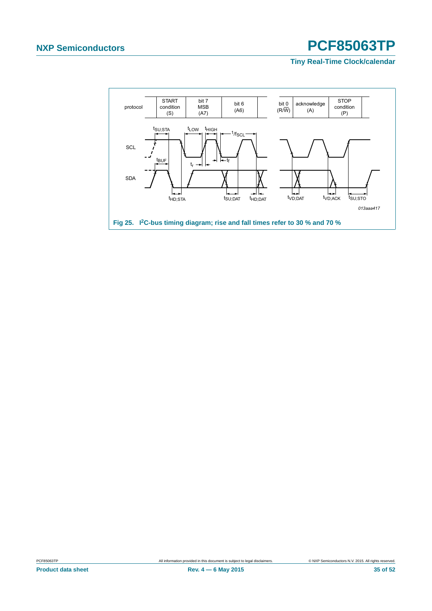<span id="page-34-0"></span>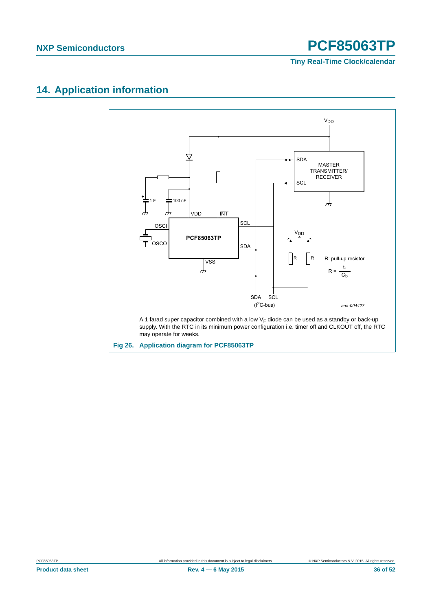**Tiny Real-Time Clock/calendar**

### <span id="page-35-1"></span>**14. Application information**

<span id="page-35-0"></span>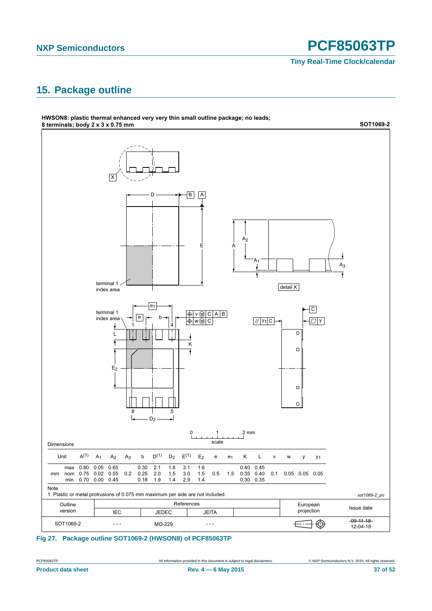**Tiny Real-Time Clock/calendar**

### <span id="page-36-1"></span>**15. Package outline**



### <span id="page-36-0"></span>**Fig 27. Package outline SOT1069-2 (HWSON8) of PCF85063TP**

**Product data sheet Rev. 4 — 6 May 2015 37 of 52**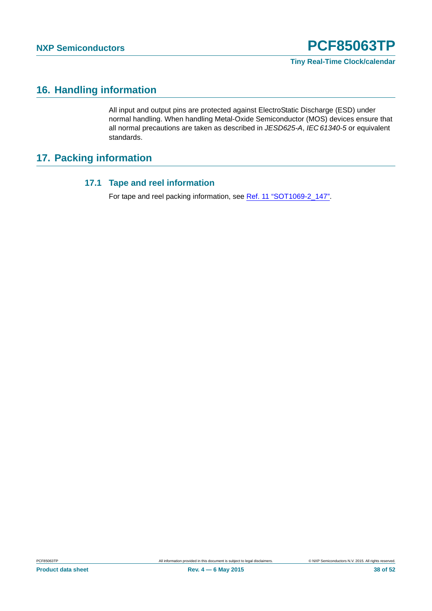**Tiny Real-Time Clock/calendar**

### <span id="page-37-0"></span>**16. Handling information**

All input and output pins are protected against ElectroStatic Discharge (ESD) under normal handling. When handling Metal-Oxide Semiconductor (MOS) devices ensure that all normal precautions are taken as described in *JESD625-A*, *IEC 61340-5* or equivalent standards.

### <span id="page-37-2"></span><span id="page-37-1"></span>**17. Packing information**

### **17.1 Tape and reel information**

For tape and reel packing information, see [Ref. 11 "SOT1069-2\\_147".](#page-45-5)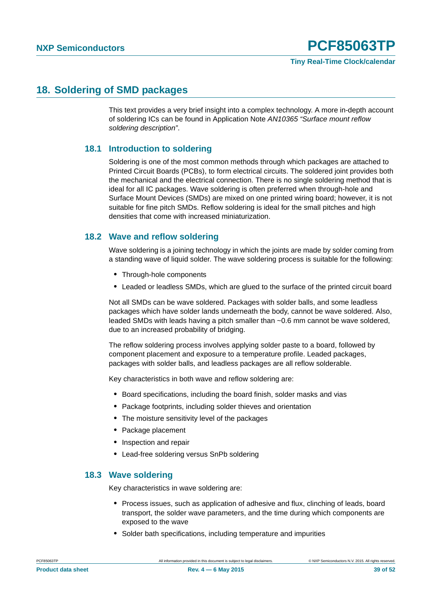### <span id="page-38-0"></span>**18. Soldering of SMD packages**

This text provides a very brief insight into a complex technology. A more in-depth account of soldering ICs can be found in Application Note *AN10365 "Surface mount reflow soldering description"*.

### <span id="page-38-1"></span>**18.1 Introduction to soldering**

Soldering is one of the most common methods through which packages are attached to Printed Circuit Boards (PCBs), to form electrical circuits. The soldered joint provides both the mechanical and the electrical connection. There is no single soldering method that is ideal for all IC packages. Wave soldering is often preferred when through-hole and Surface Mount Devices (SMDs) are mixed on one printed wiring board; however, it is not suitable for fine pitch SMDs. Reflow soldering is ideal for the small pitches and high densities that come with increased miniaturization.

### <span id="page-38-2"></span>**18.2 Wave and reflow soldering**

Wave soldering is a joining technology in which the joints are made by solder coming from a standing wave of liquid solder. The wave soldering process is suitable for the following:

- **•** Through-hole components
- **•** Leaded or leadless SMDs, which are glued to the surface of the printed circuit board

Not all SMDs can be wave soldered. Packages with solder balls, and some leadless packages which have solder lands underneath the body, cannot be wave soldered. Also, leaded SMDs with leads having a pitch smaller than ~0.6 mm cannot be wave soldered, due to an increased probability of bridging.

The reflow soldering process involves applying solder paste to a board, followed by component placement and exposure to a temperature profile. Leaded packages, packages with solder balls, and leadless packages are all reflow solderable.

Key characteristics in both wave and reflow soldering are:

- **•** Board specifications, including the board finish, solder masks and vias
- **•** Package footprints, including solder thieves and orientation
- **•** The moisture sensitivity level of the packages
- **•** Package placement
- **•** Inspection and repair
- **•** Lead-free soldering versus SnPb soldering

### <span id="page-38-3"></span>**18.3 Wave soldering**

Key characteristics in wave soldering are:

- **•** Process issues, such as application of adhesive and flux, clinching of leads, board transport, the solder wave parameters, and the time during which components are exposed to the wave
- **•** Solder bath specifications, including temperature and impurities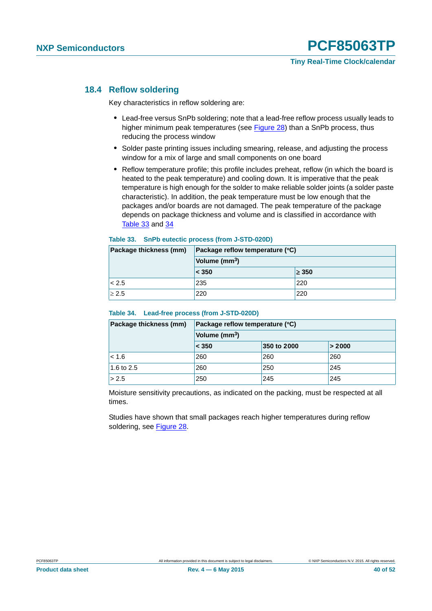### <span id="page-39-2"></span>**18.4 Reflow soldering**

Key characteristics in reflow soldering are:

- **•** Lead-free versus SnPb soldering; note that a lead-free reflow process usually leads to higher minimum peak temperatures (see [Figure 28\)](#page-40-0) than a SnPb process, thus reducing the process window
- **•** Solder paste printing issues including smearing, release, and adjusting the process window for a mix of large and small components on one board
- **•** Reflow temperature profile; this profile includes preheat, reflow (in which the board is heated to the peak temperature) and cooling down. It is imperative that the peak temperature is high enough for the solder to make reliable solder joints (a solder paste characteristic). In addition, the peak temperature must be low enough that the packages and/or boards are not damaged. The peak temperature of the package depends on package thickness and volume and is classified in accordance with [Table 33](#page-39-0) and [34](#page-39-1)

#### <span id="page-39-0"></span>**Table 33. SnPb eutectic process (from J-STD-020D)**

| Package thickness (mm) | Package reflow temperature (°C) |            |  |  |  |
|------------------------|---------------------------------|------------|--|--|--|
|                        | Volume (mm <sup>3</sup> )       |            |  |  |  |
|                        | < 350                           | $\geq$ 350 |  |  |  |
| < 2.5                  | 235                             | 220        |  |  |  |
| $\geq 2.5$             | 220                             | 220        |  |  |  |

#### <span id="page-39-1"></span>**Table 34. Lead-free process (from J-STD-020D)**

| Package thickness (mm) | Package reflow temperature (°C) |             |        |  |  |  |  |
|------------------------|---------------------------------|-------------|--------|--|--|--|--|
|                        | Volume (mm <sup>3</sup> )       |             |        |  |  |  |  |
|                        | $\leq 350$                      | 350 to 2000 | > 2000 |  |  |  |  |
| < 1.6                  | 260                             | 260         | 260    |  |  |  |  |
| 1.6 to 2.5             | 260                             | 250         | 245    |  |  |  |  |
| > 2.5                  | 250                             | 245         | 245    |  |  |  |  |

Moisture sensitivity precautions, as indicated on the packing, must be respected at all times.

Studies have shown that small packages reach higher temperatures during reflow soldering, see [Figure 28](#page-40-0).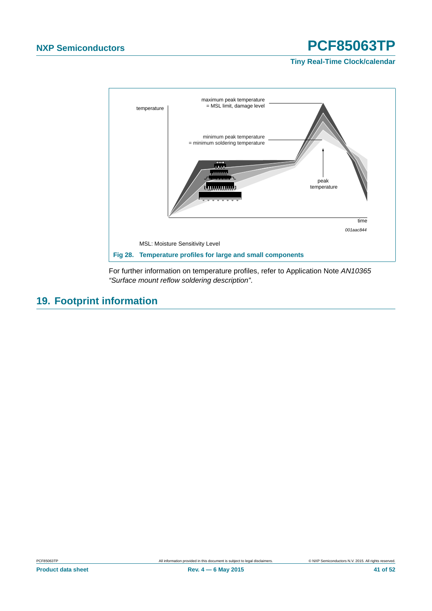**Tiny Real-Time Clock/calendar**



<span id="page-40-0"></span>For further information on temperature profiles, refer to Application Note *AN10365 "Surface mount reflow soldering description"*.

### <span id="page-40-1"></span>**19. Footprint information**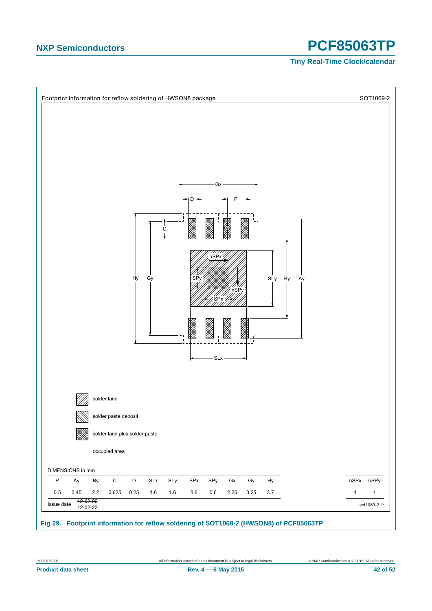

<span id="page-41-0"></span>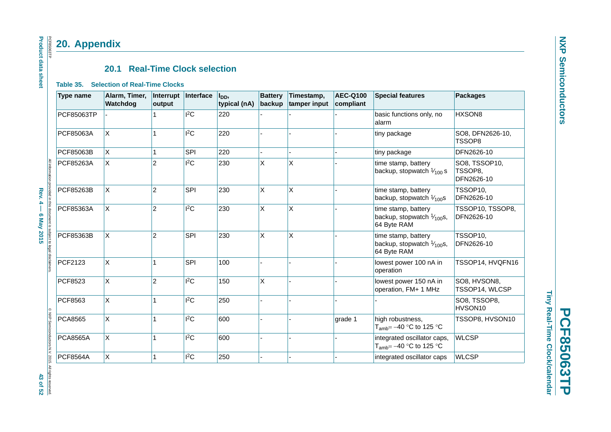# **PCF85063TP PCF85063TP**

Tiny Real-Time Clock/calendar **Tiny Real-Time Clock/calendar**

### **20.1 Real-Time Clock selection**

#### **Table 35. Selection of Real-Time Clocks**

<span id="page-42-2"></span><span id="page-42-1"></span><span id="page-42-0"></span>

|                                                     | <b>Type name</b> | Alarm, Timer,<br>Watchdog | Interrupt<br>output | Interface    | l <sub>DD</sub> ,<br>typical (nA) | <b>Battery</b><br>backup | Timestamp,<br>tamper input | <b>AEC-Q100</b><br>compliant | <b>Special features</b>                                                    | <b>Packages</b>                        |
|-----------------------------------------------------|------------------|---------------------------|---------------------|--------------|-----------------------------------|--------------------------|----------------------------|------------------------------|----------------------------------------------------------------------------|----------------------------------------|
|                                                     | PCF85063TP       |                           |                     | $ {}^{12}$ C | 220                               |                          |                            |                              | basic functions only, no<br>alarm                                          | HXSON8                                 |
|                                                     | PCF85063A        | <b>X</b>                  | $\mathbf{1}$        | $ {}^{2}C$   | 220                               |                          |                            |                              | tiny package                                                               | SO8, DFN2626-10,<br>TSSOP8             |
|                                                     | PCF85063B        | X.                        | $\mathbf{1}$        | SPI          | 220                               |                          |                            |                              | tiny package                                                               | DFN2626-10                             |
| All information pro                                 | PCF85263A        | ΙX.                       | $\overline{c}$      | $ {}^{2}C$   | 230                               | X                        | X                          |                              | time stamp, battery<br>backup, stopwatch $\frac{1}{100}$ s                 | SO8, TSSOP10,<br>TSSOP8,<br>DFN2626-10 |
|                                                     | PCF85263B        | X                         | $\overline{c}$      | SPI          | 230                               | Χ                        | X                          |                              | time stamp, battery<br>backup, stopwatch $\frac{1}{100}$ s                 | TSSOP10,<br>DFN2626-10                 |
| Rev. 4 – 6 May 2015<br>ded in this document is s    | PCF85363A        | <b>X</b>                  | $\overline{c}$      | $ {}^{2}C$   | 230                               | X                        | X                          |                              | time stamp, battery<br>backup, stopwatch $\frac{1}{100}$ s,<br>64 Byte RAM | TSSOP10, TSSOP8,<br>DFN2626-10         |
| bject to legal disclaimers                          | PCF85363B        | $\sf X$                   | $\overline{c}$      | SPI          | 230                               | X                        | X                          |                              | time stamp, battery<br>backup, stopwatch $1/100$ s,<br>64 Byte RAM         | TSSOP10,<br>DFN2626-10                 |
|                                                     | PCF2123          | $\mathsf X$               | $\mathbf{1}$        | SPI          | 100                               |                          |                            |                              | lowest power 100 nA in<br>operation                                        | TSSOP14, HVQFN16                       |
|                                                     | PCF8523          | <b>X</b>                  | $\overline{c}$      | $I^2C$       | 150                               | X                        |                            |                              | lowest power 150 nA in<br>operation, FM+ 1 MHz                             | SO8, HVSON8,<br>TSSOP14, WLCSP         |
|                                                     | PCF8563          | $\pmb{\times}$            |                     | $ ^{2}C$     | 250                               |                          |                            |                              |                                                                            | SO8, TSSOP8,<br>HVSON10                |
|                                                     | <b>PCA8565</b>   | $\pmb{\times}$            | $\mathbf{1}$        | $ {}^{12}$ C | 600                               |                          |                            | grade 1                      | high robustness,<br>$T_{amb} = -40$ °C to 125 °C                           | TSSOP8, HVSON10                        |
| C NXP Semiconductors N.V. 2015. All rights reserved | <b>PCA8565A</b>  | X                         | 1                   | $ ^{2}C$     | 600                               |                          |                            |                              | integrated oscillator caps,<br>T <sub>amb</sub> = $-40$ °C to 125 °C       | <b>WLCSP</b>                           |
|                                                     | <b>PCF8564A</b>  | $\mathsf{x}$              | $\mathbf{1}$        | $ {}^{2}C$   | 250                               |                          |                            |                              | integrated oscillator caps                                                 | <b>WLCSP</b>                           |

### **Product data sheet Product data sheet** PCF85063TP PCF85063TP **20. Appendix**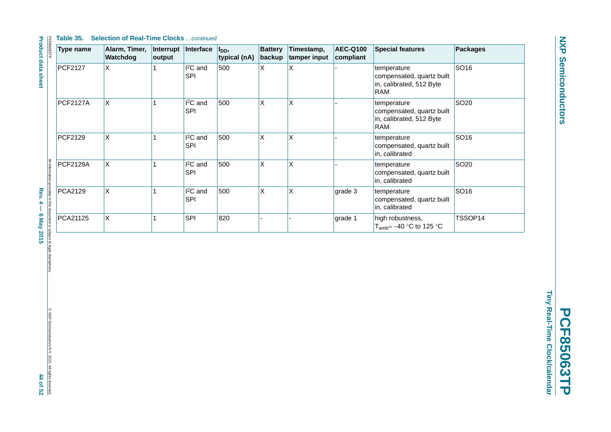**NXP Semiconductors NXP Semiconductors**

Tiny Real-Time Clock/calendar **Tiny Real-Time Clock/calendar PCF85063TP PCF85063TP**

| <b>Type name</b> | Alarm, Timer,<br>Watchdog | Interrupt<br>output | Interface                          | l <sub>DD</sub> ,<br>typical (nA) | <b>Battery</b><br>backup | Timestamp,<br>tamper input | <b>AEC-Q100</b><br>compliant | <b>Special features</b>                                                            | <b>Packages</b>  |
|------------------|---------------------------|---------------------|------------------------------------|-----------------------------------|--------------------------|----------------------------|------------------------------|------------------------------------------------------------------------------------|------------------|
| <b>PCF2127</b>   | X                         |                     | I <sup>2</sup> C and<br><b>SPI</b> | 500                               | X                        | X                          |                              | temperature<br>compensated, quartz built<br>in, calibrated, 512 Byte<br><b>RAM</b> | SO16             |
| <b>PCF2127A</b>  | X                         |                     | I <sup>2</sup> C and<br>SPI        | 500                               | X                        | X                          |                              | temperature<br>compensated, quartz built<br>in, calibrated, 512 Byte<br><b>RAM</b> | SO <sub>20</sub> |
| PCF2129          | $\pmb{\times}$            |                     | $I2C$ and<br><b>SPI</b>            | 500                               | X                        | X                          |                              | temperature<br>compensated, quartz built<br>in, calibrated                         | SO16             |
| <b>PCF2129A</b>  | X                         |                     | I <sup>2</sup> C and<br>SPI        | 500                               | X                        | X                          |                              | temperature<br>compensated, quartz built<br>in, calibrated                         | SO <sub>20</sub> |
| PCA2129          | $\mathsf{X}$              |                     | $I2C$ and<br>SPI                   | 500                               | $\mathsf X$              | X                          | grade 3                      | temperature<br>compensated, quartz built<br>in, calibrated                         | SO16             |
| PCA21125         | X                         |                     | SPI                                | 820                               |                          |                            | grade 1                      | high robustness,<br>T <sub>amb</sub> = $-40$ °C to 125 °C                          | TSSOP14          |

Rev. 4 – 6 May 2015 **Rev. 4 — 6 May 2015 44 of 52** ibject to legal disclaimers

**Product data sheet**

© NXP Semiconductors N.V. 2015. All rights reserved.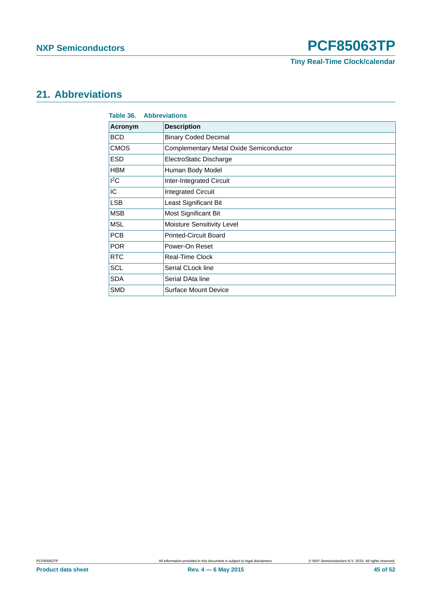**Tiny Real-Time Clock/calendar**

### <span id="page-44-0"></span>**21. Abbreviations**

<span id="page-44-1"></span>

| Table 36.      | <b>Abbreviations</b>                    |
|----------------|-----------------------------------------|
| <b>Acronym</b> | <b>Description</b>                      |
| <b>BCD</b>     | <b>Binary Coded Decimal</b>             |
| <b>CMOS</b>    | Complementary Metal Oxide Semiconductor |
| <b>ESD</b>     | ElectroStatic Discharge                 |
| <b>HBM</b>     | Human Body Model                        |
| ${}^{12}$ C    | Inter-Integrated Circuit                |
| IC             | <b>Integrated Circuit</b>               |
| <b>LSB</b>     | Least Significant Bit                   |
| <b>MSB</b>     | Most Significant Bit                    |
| <b>MSL</b>     | Moisture Sensitivity Level              |
| <b>PCB</b>     | <b>Printed-Circuit Board</b>            |
| <b>POR</b>     | Power-On Reset                          |
| <b>RTC</b>     | <b>Real-Time Clock</b>                  |
| <b>SCL</b>     | Serial CLock line                       |
| <b>SDA</b>     | Serial DAta line                        |
| <b>SMD</b>     | <b>Surface Mount Device</b>             |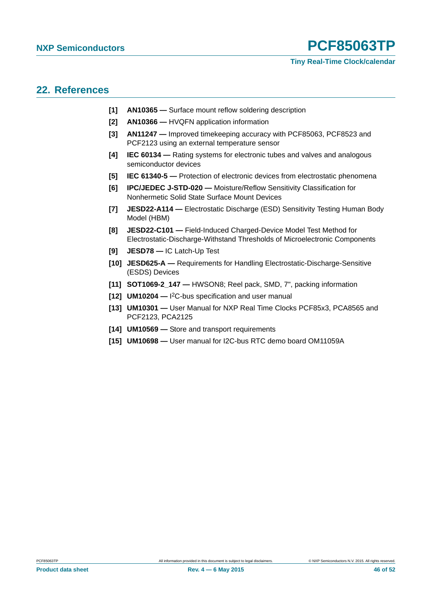### **Tiny Real-Time Clock/calendar**

### <span id="page-45-6"></span>**22. References**

- **[1] AN10365** Surface mount reflow soldering description
- **[2] AN10366** HVQFN application information
- **[3] AN11247** Improved timekeeping accuracy with PCF85063, PCF8523 and PCF2123 using an external temperature sensor
- **[4] IEC 60134** Rating systems for electronic tubes and valves and analogous semiconductor devices
- **[5] IEC 61340-5** Protection of electronic devices from electrostatic phenomena
- **[6] IPC/JEDEC J-STD-020** Moisture/Reflow Sensitivity Classification for Nonhermetic Solid State Surface Mount Devices
- <span id="page-45-1"></span>**[7] JESD22-A114 —** Electrostatic Discharge (ESD) Sensitivity Testing Human Body Model (HBM)
- <span id="page-45-2"></span>**[8] JESD22-C101 —** Field-Induced Charged-Device Model Test Method for Electrostatic-Discharge-Withstand Thresholds of Microelectronic Components
- <span id="page-45-3"></span>**[9] JESD78 —** IC Latch-Up Test
- **[10] JESD625-A** Requirements for Handling Electrostatic-Discharge-Sensitive (ESDS) Devices
- <span id="page-45-5"></span>**[11] SOT1069-2\_147 —** HWSON8; Reel pack, SMD, 7", packing information
- <span id="page-45-0"></span>**[12] UM10204 —** I 2C-bus specification and user manual
- **[13] UM10301** User Manual for NXP Real Time Clocks PCF85x3, PCA8565 and PCF2123, PCA2125
- <span id="page-45-4"></span>**[14] UM10569 —** Store and transport requirements
- **[15] UM10698** User manual for I2C-bus RTC demo board OM11059A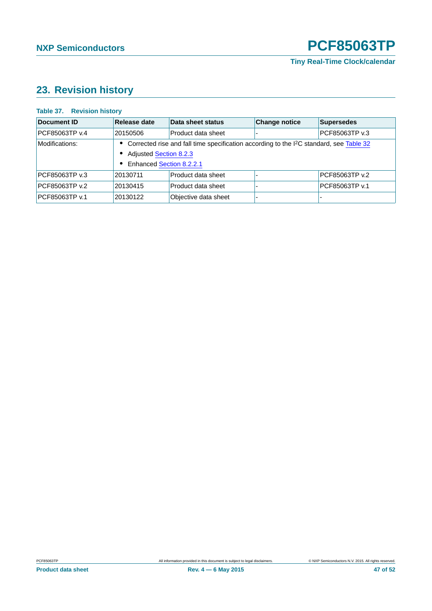### <span id="page-46-1"></span>**23. Revision history**

### <span id="page-46-0"></span>**Table 37. Revision history**

| Document ID    | Release date                                                                                          | Data sheet status    | <b>Change notice</b> | Supersedes     |  |  |  |
|----------------|-------------------------------------------------------------------------------------------------------|----------------------|----------------------|----------------|--|--|--|
| PCF85063TP v.4 | 20150506                                                                                              | Product data sheet   |                      | PCF85063TP v.3 |  |  |  |
| Modifications: | • Corrected rise and fall time specification according to the I <sup>2</sup> C standard, see Table 32 |                      |                      |                |  |  |  |
|                | <b>Adjusted Section 8.2.3</b>                                                                         |                      |                      |                |  |  |  |
|                | • Enhanced Section 8.2.2.1                                                                            |                      |                      |                |  |  |  |
| PCF85063TP v.3 | 20130711                                                                                              | Product data sheet   |                      | PCF85063TP v.2 |  |  |  |
| PCF85063TP v.2 | 20130415                                                                                              | Product data sheet   |                      | PCF85063TP v.1 |  |  |  |
| PCF85063TP v.1 | 20130122                                                                                              | Objective data sheet |                      |                |  |  |  |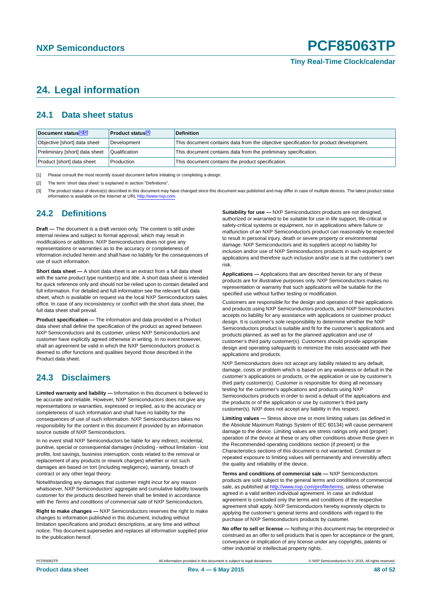### <span id="page-47-3"></span>**24. Legal information**

### <span id="page-47-4"></span>**24.1 Data sheet status**

| Document status <sup>[1][2]</sup> | <b>Product status</b> <sup>[3]</sup> | <b>Definition</b>                                                                     |
|-----------------------------------|--------------------------------------|---------------------------------------------------------------------------------------|
| Objective [short] data sheet      | Development                          | This document contains data from the objective specification for product development. |
| Preliminary [short] data sheet    | Qualification                        | This document contains data from the preliminary specification.                       |
| Product [short] data sheet        | Production                           | This document contains the product specification.                                     |

<span id="page-47-0"></span>[1] Please consult the most recently issued document before initiating or completing a design.

<span id="page-47-1"></span>[2] The term 'short data sheet' is explained in section "Definitions".

<span id="page-47-2"></span>[3] The product status of device(s) described in this document may have changed since this document was published and may differ in case of multiple devices. The latest product status<br>information is available on the Intern

### <span id="page-47-5"></span>**24.2 Definitions**

**Draft —** The document is a draft version only. The content is still under internal review and subject to formal approval, which may result in modifications or additions. NXP Semiconductors does not give any representations or warranties as to the accuracy or completeness of information included herein and shall have no liability for the consequences of use of such information.

**Short data sheet —** A short data sheet is an extract from a full data sheet with the same product type number(s) and title. A short data sheet is intended for quick reference only and should not be relied upon to contain detailed and full information. For detailed and full information see the relevant full data sheet, which is available on request via the local NXP Semiconductors sales office. In case of any inconsistency or conflict with the short data sheet, the full data sheet shall prevail.

**Product specification —** The information and data provided in a Product data sheet shall define the specification of the product as agreed between NXP Semiconductors and its customer, unless NXP Semiconductors and customer have explicitly agreed otherwise in writing. In no event however, shall an agreement be valid in which the NXP Semiconductors product is deemed to offer functions and qualities beyond those described in the Product data sheet.

### <span id="page-47-6"></span>**24.3 Disclaimers**

**Limited warranty and liability —** Information in this document is believed to be accurate and reliable. However, NXP Semiconductors does not give any representations or warranties, expressed or implied, as to the accuracy or completeness of such information and shall have no liability for the consequences of use of such information. NXP Semiconductors takes no responsibility for the content in this document if provided by an information source outside of NXP Semiconductors.

In no event shall NXP Semiconductors be liable for any indirect, incidental, punitive, special or consequential damages (including - without limitation - lost profits, lost savings, business interruption, costs related to the removal or replacement of any products or rework charges) whether or not such damages are based on tort (including negligence), warranty, breach of contract or any other legal theory.

Notwithstanding any damages that customer might incur for any reason whatsoever, NXP Semiconductors' aggregate and cumulative liability towards customer for the products described herein shall be limited in accordance with the *Terms and conditions of commercial sale* of NXP Semiconductors.

**Right to make changes —** NXP Semiconductors reserves the right to make changes to information published in this document, including without limitation specifications and product descriptions, at any time and without notice. This document supersedes and replaces all information supplied prior to the publication hereof.

**Suitability for use —** NXP Semiconductors products are not designed, authorized or warranted to be suitable for use in life support, life-critical or safety-critical systems or equipment, nor in applications where failure or malfunction of an NXP Semiconductors product can reasonably be expected to result in personal injury, death or severe property or environmental damage. NXP Semiconductors and its suppliers accept no liability for inclusion and/or use of NXP Semiconductors products in such equipment or applications and therefore such inclusion and/or use is at the customer's own risk.

**Applications —** Applications that are described herein for any of these products are for illustrative purposes only. NXP Semiconductors makes no representation or warranty that such applications will be suitable for the specified use without further testing or modification.

Customers are responsible for the design and operation of their applications and products using NXP Semiconductors products, and NXP Semiconductors accepts no liability for any assistance with applications or customer product design. It is customer's sole responsibility to determine whether the NXP Semiconductors product is suitable and fit for the customer's applications and products planned, as well as for the planned application and use of customer's third party customer(s). Customers should provide appropriate design and operating safeguards to minimize the risks associated with their applications and products.

NXP Semiconductors does not accept any liability related to any default, damage, costs or problem which is based on any weakness or default in the customer's applications or products, or the application or use by customer's third party customer(s). Customer is responsible for doing all necessary testing for the customer's applications and products using NXP Semiconductors products in order to avoid a default of the applications and the products or of the application or use by customer's third party customer(s). NXP does not accept any liability in this respect.

**Limiting values —** Stress above one or more limiting values (as defined in the Absolute Maximum Ratings System of IEC 60134) will cause permanent damage to the device. Limiting values are stress ratings only and (proper) operation of the device at these or any other conditions above those given in the Recommended operating conditions section (if present) or the Characteristics sections of this document is not warranted. Constant or repeated exposure to limiting values will permanently and irreversibly affect the quality and reliability of the device.

**Terms and conditions of commercial sale —** NXP Semiconductors products are sold subject to the general terms and conditions of commercial sale, as published at<http://www.nxp.com/profile/terms>, unless otherwise agreed in a valid written individual agreement. In case an individual agreement is concluded only the terms and conditions of the respective agreement shall apply. NXP Semiconductors hereby expressly objects to applying the customer's general terms and conditions with regard to the purchase of NXP Semiconductors products by customer.

**No offer to sell or license —** Nothing in this document may be interpreted or construed as an offer to sell products that is open for acceptance or the grant, conveyance or implication of any license under any copyrights, patents or other industrial or intellectual property rights.

PCF85063TP All information provided in this document is subject to legal disclaimers. © NXP Semiconductors N.V. 2015. All rights reserved.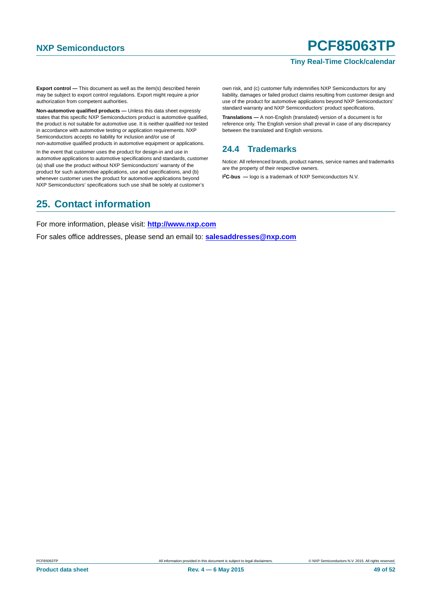### **Tiny Real-Time Clock/calendar**

**Export control —** This document as well as the item(s) described herein may be subject to export control regulations. Export might require a prior authorization from competent authorities.

**Non-automotive qualified products —** Unless this data sheet expressly states that this specific NXP Semiconductors product is automotive qualified, the product is not suitable for automotive use. It is neither qualified nor tested in accordance with automotive testing or application requirements. NXP Semiconductors accepts no liability for inclusion and/or use of non-automotive qualified products in automotive equipment or applications.

In the event that customer uses the product for design-in and use in automotive applications to automotive specifications and standards, customer (a) shall use the product without NXP Semiconductors' warranty of the product for such automotive applications, use and specifications, and (b) whenever customer uses the product for automotive applications beyond NXP Semiconductors' specifications such use shall be solely at customer's

own risk, and (c) customer fully indemnifies NXP Semiconductors for any liability, damages or failed product claims resulting from customer design and use of the product for automotive applications beyond NXP Semiconductors' standard warranty and NXP Semiconductors' product specifications.

**Translations —** A non-English (translated) version of a document is for reference only. The English version shall prevail in case of any discrepancy between the translated and English versions.

### <span id="page-48-0"></span>**24.4 Trademarks**

Notice: All referenced brands, product names, service names and trademarks are the property of their respective owners.

**I 2C-bus —** logo is a trademark of NXP Semiconductors N.V.

### <span id="page-48-1"></span>**25. Contact information**

For more information, please visit: **http://www.nxp.com**

For sales office addresses, please send an email to: **salesaddresses@nxp.com**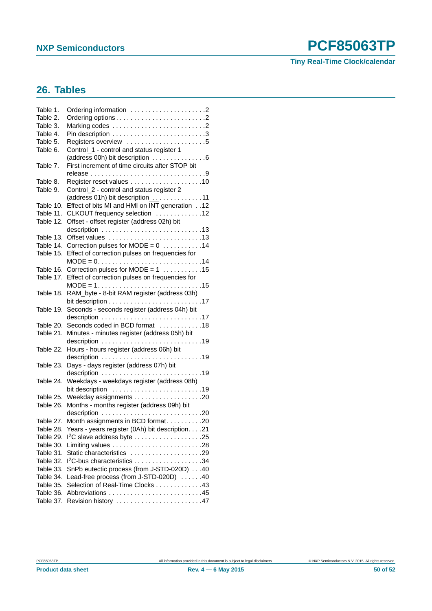### **Tiny Real-Time Clock/calendar**

### <span id="page-49-0"></span>**26. Tables**

| Table 1.  |                                                                               |
|-----------|-------------------------------------------------------------------------------|
| Table 2.  | Ordering options2                                                             |
| Table 3.  |                                                                               |
| Table 4.  |                                                                               |
| Table 5.  | Registers overview 5                                                          |
| Table 6.  | Control_1 - control and status register 1                                     |
|           | (address 00h) bit description 6                                               |
| Table 7.  | First increment of time circuits after STOP bit                               |
|           |                                                                               |
| Table 8.  |                                                                               |
| Table 9.  | Control_2 - control and status register 2                                     |
|           | (address 01h) bit description 11                                              |
| Table 10. | Effect of bits MI and HMI on INT generation 12                                |
| Table 11. | CLKOUT frequency selection 12                                                 |
| Table 12. | Offset - offset register (address 02h) bit                                    |
|           | description 13                                                                |
| Table 13. |                                                                               |
|           | Table 14. Correction pulses for MODE = $0$ 14                                 |
| Table 15. | Effect of correction pulses on frequencies for                                |
|           | $MODE = 0. \ldots \ldots \ldots \ldots \ldots \ldots \ldots \ldots \ldots 14$ |
|           | Table 16. Correction pulses for MODE = $1$ 15                                 |
|           | Table 17. Effect of correction pulses on frequencies for                      |
|           | $MODE = 1. 15$                                                                |
| Table 18. | RAM_byte - 8-bit RAM register (address 03h)                                   |
|           |                                                                               |
| Table 19. | Seconds - seconds register (address 04h) bit                                  |
|           | description 17                                                                |
| Table 20. | Seconds coded in BCD format 18                                                |
| Table 21. | Minutes - minutes register (address 05h) bit                                  |
|           |                                                                               |
| Table 22. | Hours - hours register (address 06h) bit                                      |
|           |                                                                               |
| Table 23. | Days - days register (address 07h) bit                                        |
|           | description 19                                                                |
| Table 24. | Weekdays - weekdays register (address 08h)                                    |
|           | bit description 19                                                            |
| Table 25. |                                                                               |
| Table 26. | Months - months register (address 09h) bit                                    |
|           |                                                                               |
| Table 27. | Month assignments in BCD format20                                             |
| Table 28. | Years - years register (0Ah) bit description. 21                              |
| Table 29. |                                                                               |
| Table 30. |                                                                               |
| Table 31. | Static characteristics 29                                                     |
| Table 32. |                                                                               |
| Table 33. | SnPb eutectic process (from J-STD-020D) 40                                    |
| Table 34. | Lead-free process (from J-STD-020D) 40                                        |
| Table 35. | Selection of Real-Time Clocks 43                                              |
| Table 36. |                                                                               |
| Table 37. |                                                                               |
|           |                                                                               |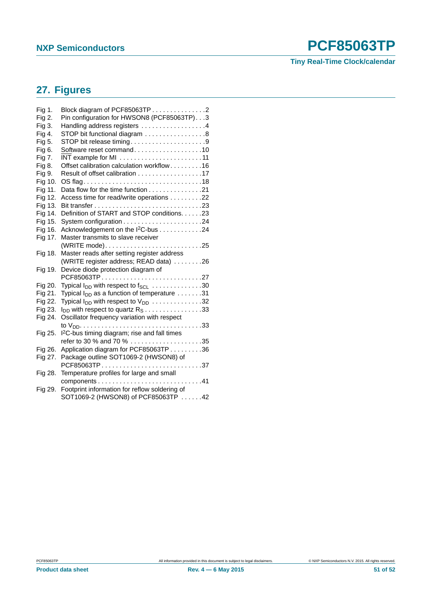### **Tiny Real-Time Clock/calendar**

### <span id="page-50-0"></span>**27. Figures**

| Fig 1.  | Block diagram of PCF85063TP 2                                  |
|---------|----------------------------------------------------------------|
| Fig 2.  | Pin configuration for HWSON8 (PCF85063TP). 3                   |
| Fig 3.  | Handling address registers 4                                   |
| Fig 4.  | STOP bit functional diagram 8                                  |
| Fig 5.  | STOP bit release timing9                                       |
| Fig 6.  | Software reset command10                                       |
| Fig 7.  | INT example for MI 11                                          |
| Fig 8.  | Offset calibration calculation workflow16                      |
| Fig 9.  | Result of offset calibration 17                                |
| Fig 10. |                                                                |
| Fig 11. | Data flow for the time function 21                             |
| Fig 12. | Access time for read/write operations 22                       |
| Fig 13. |                                                                |
| Fig 14. | Definition of START and STOP conditions. 23                    |
| Fig 15. |                                                                |
| Fig 16. | Acknowledgement on the I <sup>2</sup> C-bus 24                 |
| Fig 17. | Master transmits to slave receiver                             |
|         |                                                                |
| Fig 18. | Master reads after setting register address                    |
|         | (WRITE register address; READ data) 26                         |
| Fig 19. | Device diode protection diagram of                             |
|         | PCF85063TP27                                                   |
| Fig 20. | Typical I <sub>DD</sub> with respect to f <sub>SCL</sub> 30    |
| Fig 21. | Typical $I_{DD}$ as a function of temperature $\dots \dots 31$ |
| Fig 22. | Typical $I_{DD}$ with respect to $V_{DD}$ 32                   |
| Fig 23. | $I_{DD}$ with respect to quartz $R_S$ 33                       |
| Fig 24. | Oscillator frequency variation with respect                    |
|         |                                                                |
| Fig 25. | I <sup>2</sup> C-bus timing diagram; rise and fall times       |
|         |                                                                |
| Fig 26. | Application diagram for PCF85063TP 36                          |
| Fig 27. | Package outline SOT1069-2 (HWSON8) of                          |
|         | PCF85063TP37                                                   |
| Fig 28. | Temperature profiles for large and small                       |
|         |                                                                |
| Fig 29. | Footprint information for reflow soldering of                  |
|         | SOT1069-2 (HWSON8) of PCF85063TP 42                            |